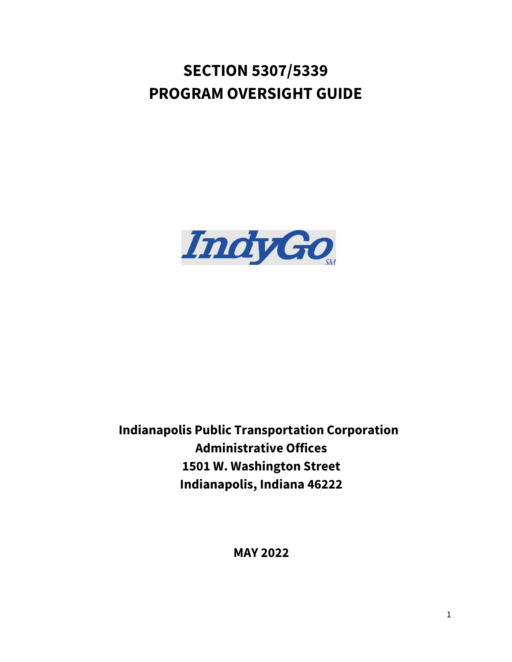**SECTION 5307/5339 PROGRAM OVERSIGHT GUIDE**



# **Indianapolis Public Transportation Corporation Administrative Offices 1501 W. Washington Street Indianapolis, Indiana 46222**

**MAY 2022**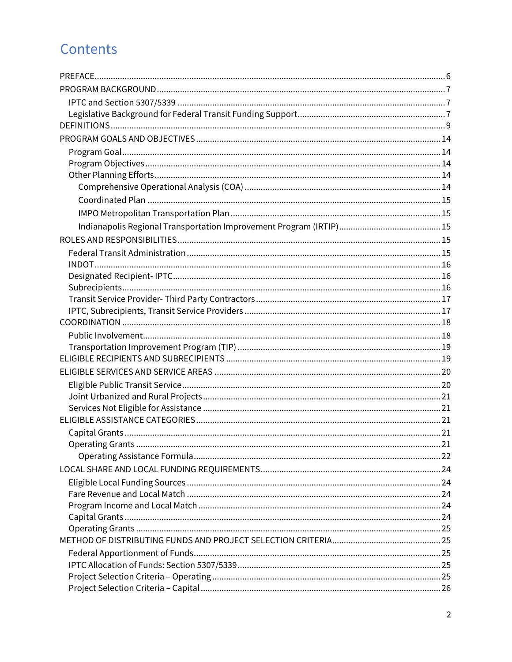# Contents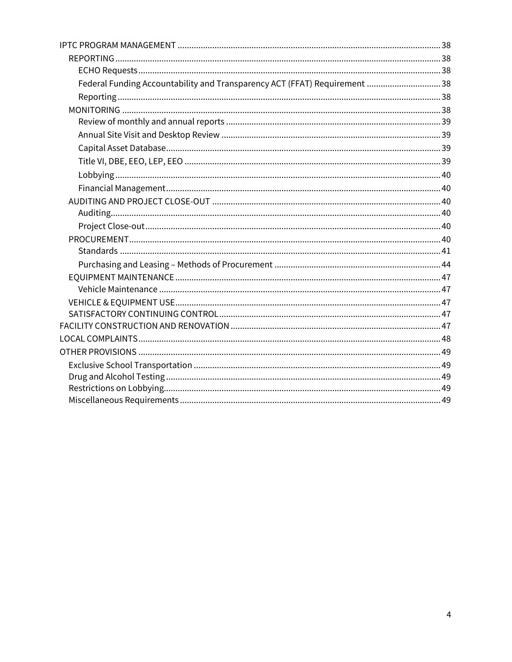| Federal Funding Accountability and Transparency ACT (FFAT) Requirement 38 |  |
|---------------------------------------------------------------------------|--|
|                                                                           |  |
|                                                                           |  |
|                                                                           |  |
|                                                                           |  |
|                                                                           |  |
|                                                                           |  |
|                                                                           |  |
|                                                                           |  |
|                                                                           |  |
|                                                                           |  |
|                                                                           |  |
|                                                                           |  |
|                                                                           |  |
|                                                                           |  |
|                                                                           |  |
|                                                                           |  |
|                                                                           |  |
|                                                                           |  |
|                                                                           |  |
|                                                                           |  |
|                                                                           |  |
|                                                                           |  |
|                                                                           |  |
|                                                                           |  |
|                                                                           |  |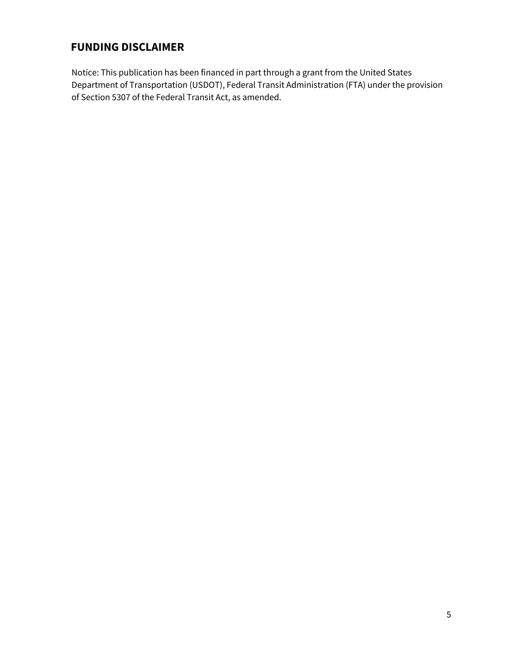# **FUNDING DISCLAIMER**

Notice: This publication has been financed in part through a grant from the United States Department of Transportation (USDOT), Federal Transit Administration (FTA) under the provision of Section 5307 of the Federal Transit Act, as amended.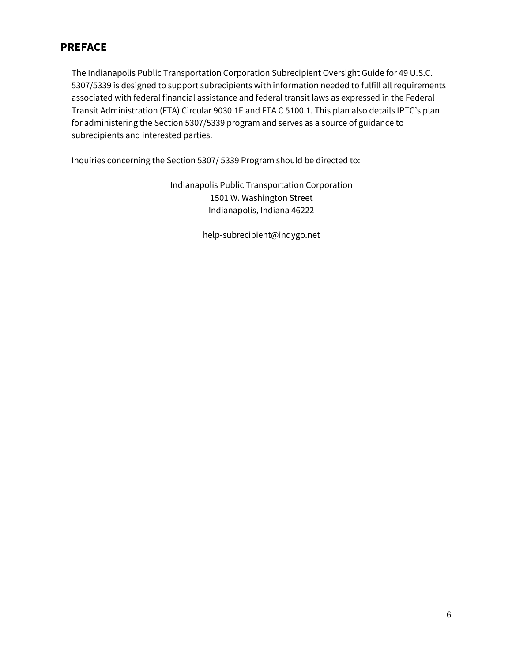# <span id="page-5-0"></span>**PREFACE**

The Indianapolis Public Transportation Corporation Subrecipient Oversight Guide for 49 U.S.C. 5307/5339 is designed to support subrecipients with information needed to fulfill all requirements associated with federal financial assistance and federal transit laws as expressed in the Federal Transit Administration (FTA) Circular 9030.1E and FTA C 5100.1. This plan also details IPTC's plan for administering the Section 5307/5339 program and serves as a source of guidance to subrecipients and interested parties.

Inquiries concerning the Section 5307/ 5339 Program should be directed to:

Indianapolis Public Transportation Corporation 1501 W. Washington Street Indianapolis, Indiana 46222

help-subrecipient@indygo.net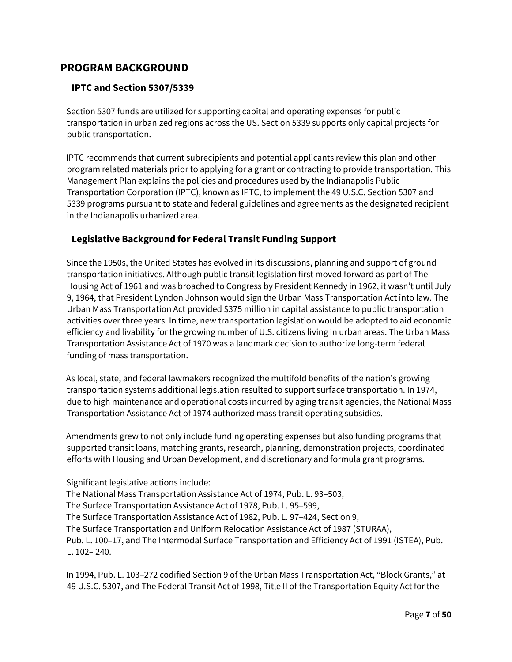# <span id="page-6-0"></span>**PROGRAM BACKGROUND**

# <span id="page-6-1"></span>**IPTC and Section 5307/5339**

Section 5307 funds are utilized for supporting capital and operating expenses for public transportation in urbanized regions across the US. Section 5339 supports only capital projects for public transportation.

IPTC recommends that current subrecipients and potential applicants review this plan and other program related materials prior to applying for a grant or contracting to provide transportation. This Management Plan explains the policies and procedures used by the Indianapolis Public Transportation Corporation (IPTC), known as IPTC, to implement the 49 U.S.C. Section 5307 and 5339 programs pursuant to state and federal guidelines and agreements as the designated recipient in the Indianapolis urbanized area.

# <span id="page-6-2"></span>**Legislative Background for Federal Transit Funding Support**

Since the 1950s, the United States has evolved in its discussions, planning and support of ground transportation initiatives. Although public transit legislation first moved forward as part of The Housing Act of 1961 and was broached to Congress by President Kennedy in 1962, it wasn't until July 9, 1964, that President Lyndon Johnson would sign the Urban Mass Transportation Act into law. The Urban Mass Transportation Act provided \$375 million in capital assistance to public transportation activities over three years. In time, new transportation legislation would be adopted to aid economic efficiency and livability for the growing number of U.S. citizens living in urban areas. The Urban Mass Transportation Assistance Act of 1970 was a landmark decision to authorize long-term federal funding of mass transportation.

As local, state, and federal lawmakers recognized the multifold benefits of the nation's growing transportation systems additional legislation resulted to support surface transportation. In 1974, due to high maintenance and operational costs incurred by aging transit agencies, the National Mass Transportation Assistance Act of 1974 authorized mass transit operating subsidies.

Amendments grew to not only include funding operating expenses but also funding programs that supported transit loans, matching grants, research, planning, demonstration projects, coordinated efforts with Housing and Urban Development, and discretionary and formula grant programs.

Significant legislative actions include:

The National Mass Transportation Assistance Act of 1974, Pub. L. 93–503,

The Surface Transportation Assistance Act of 1978, Pub. L. 95–599,

The Surface Transportation Assistance Act of 1982, Pub. L. 97–424, Section 9,

The Surface Transportation and Uniform Relocation Assistance Act of 1987 (STURAA),

Pub. L. 100–17, and The Intermodal Surface Transportation and Efficiency Act of 1991 (ISTEA), Pub. L. 102– 240.

In 1994, Pub. L. 103–272 codified Section 9 of the Urban Mass Transportation Act, "Block Grants," at 49 U.S.C. 5307, and The Federal Transit Act of 1998, Title II of the Transportation Equity Act for the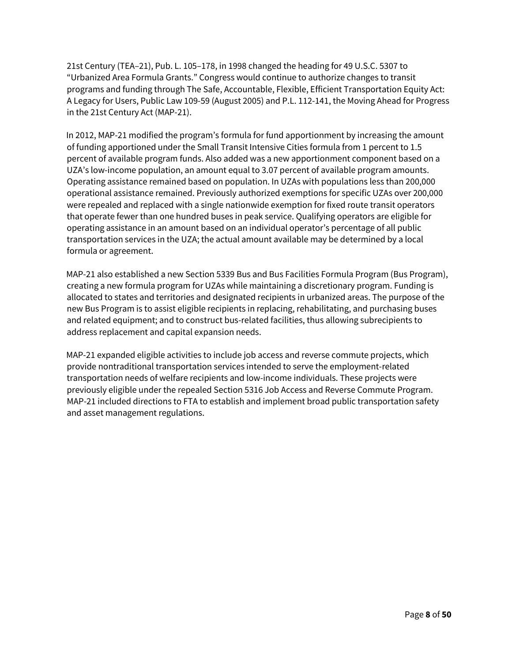21st Century (TEA–21), Pub. L. 105–178, in 1998 changed the heading for 49 U.S.C. 5307 to "Urbanized Area Formula Grants." Congress would continue to authorize changes to transit programs and funding through The Safe, Accountable, Flexible, Efficient Transportation Equity Act: A Legacy for Users, Public Law 109-59 (August 2005) and P.L. 112-141, the Moving Ahead for Progress in the 21st Century Act (MAP-21).

In 2012, MAP-21 modified the program's formula for fund apportionment by increasing the amount of funding apportioned under the Small Transit Intensive Cities formula from 1 percent to 1.5 percent of available program funds. Also added was a new apportionment component based on a UZA's low-income population, an amount equal to 3.07 percent of available program amounts. Operating assistance remained based on population. In UZAs with populations less than 200,000 operational assistance remained. Previously authorized exemptions for specific UZAs over 200,000 were repealed and replaced with a single nationwide exemption for fixed route transit operators that operate fewer than one hundred buses in peak service. Qualifying operators are eligible for operating assistance in an amount based on an individual operator's percentage of all public transportation services in the UZA; the actual amount available may be determined by a local formula or agreement.

MAP-21 also established a new Section 5339 Bus and Bus Facilities Formula Program (Bus Program), creating a new formula program for UZAs while maintaining a discretionary program. Funding is allocated to states and territories and designated recipients in urbanized areas. The purpose of the new Bus Program is to assist eligible recipients in replacing, rehabilitating, and purchasing buses and related equipment; and to construct bus-related facilities, thus allowing subrecipients to address replacement and capital expansion needs.

MAP-21 expanded eligible activities to include job access and reverse commute projects, which provide nontraditional transportation services intended to serve the employment-related transportation needs of welfare recipients and low-income individuals. These projects were previously eligible under the repealed Section 5316 Job Access and Reverse Commute Program. MAP-21 included directions to FTA to establish and implement broad public transportation safety and asset management regulations.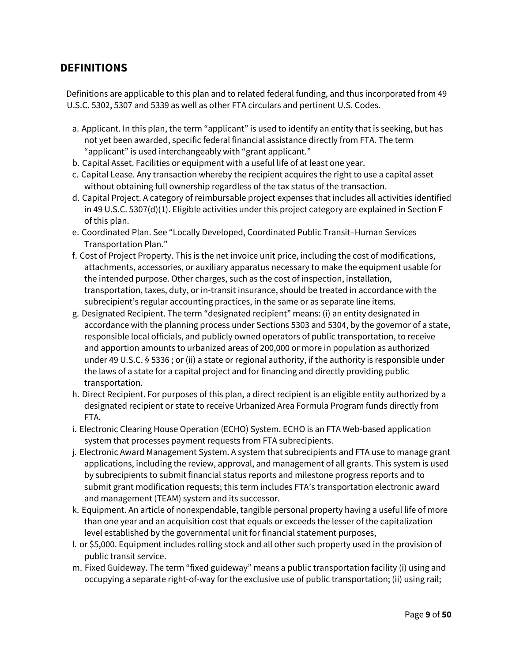# <span id="page-8-0"></span>**DEFINITIONS**

Definitions are applicable to this plan and to related federal funding, and thus incorporated from 49 U.S.C. 5302, 5307 and 5339 as well as other FTA circulars and pertinent U.S. Codes.

- a. Applicant. In this plan, the term "applicant" is used to identify an entity that is seeking, but has not yet been awarded, specific federal financial assistance directly from FTA. The term "applicant" is used interchangeably with "grant applicant."
- b. Capital Asset. Facilities or equipment with a useful life of at least one year.
- c. Capital Lease. Any transaction whereby the recipient acquires the right to use a capital asset without obtaining full ownership regardless of the tax status of the transaction.
- d. Capital Project. A category of reimbursable project expenses that includes all activities identified in 49 U.S.C. 5307(d)(1). Eligible activities under this project category are explained in Section F of this plan.
- e. Coordinated Plan. See "Locally Developed, Coordinated Public Transit–Human Services Transportation Plan."
- f. Cost of Project Property. This is the net invoice unit price, including the cost of modifications, attachments, accessories, or auxiliary apparatus necessary to make the equipment usable for the intended purpose. Other charges, such as the cost of inspection, installation, transportation, taxes, duty, or in-transit insurance, should be treated in accordance with the subrecipient's regular accounting practices, in the same or as separate line items.
- g. Designated Recipient. The term "designated recipient" means: (i) an entity designated in accordance with the planning process under Sections 5303 and 5304, by the governor of a state, responsible local officials, and publicly owned operators of public transportation, to receive and apportion amounts to urbanized areas of 200,000 or more in population as authorized under 49 U.S.C. § 5336 ; or (ii) a state or regional authority, if the authority is responsible under the laws of a state for a capital project and for financing and directly providing public transportation.
- h. Direct Recipient. For purposes of this plan, a direct recipient is an eligible entity authorized by a designated recipient or state to receive Urbanized Area Formula Program funds directly from FTA.
- i. Electronic Clearing House Operation (ECHO) System. ECHO is an FTA Web-based application system that processes payment requests from FTA subrecipients.
- j. Electronic Award Management System. A system that subrecipients and FTA use to manage grant applications, including the review, approval, and management of all grants. This system is used by subrecipients to submit financial status reports and milestone progress reports and to submit grant modification requests; this term includes FTA's transportation electronic award and management (TEAM) system and its successor.
- k. Equipment. An article of nonexpendable, tangible personal property having a useful life of more than one year and an acquisition cost that equals or exceeds the lesser of the capitalization level established by the governmental unit for financial statement purposes,
- l. or \$5,000. Equipment includes rolling stock and all other such property used in the provision of public transit service.
- m. Fixed Guideway. The term "fixed guideway" means a public transportation facility (i) using and occupying a separate right-of-way for the exclusive use of public transportation; (ii) using rail;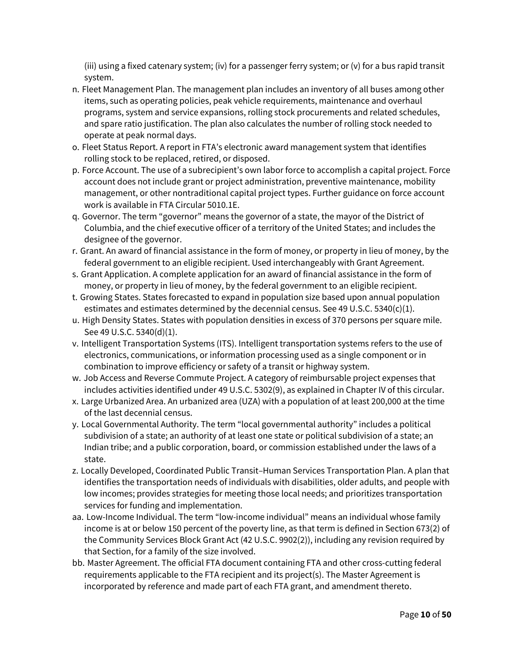(iii) using a fixed catenary system; (iv) for a passenger ferry system; or (v) for a bus rapid transit system.

- n. Fleet Management Plan. The management plan includes an inventory of all buses among other items, such as operating policies, peak vehicle requirements, maintenance and overhaul programs, system and service expansions, rolling stock procurements and related schedules, and spare ratio justification. The plan also calculates the number of rolling stock needed to operate at peak normal days.
- o. Fleet Status Report. A report in FTA's electronic award management system that identifies rolling stock to be replaced, retired, or disposed.
- p. Force Account. The use of a subrecipient's own labor force to accomplish a capital project. Force account does not include grant or project administration, preventive maintenance, mobility management, or other nontraditional capital project types. Further guidance on force account work is available in FTA Circular 5010.1E.
- q. Governor. The term "governor" means the governor of a state, the mayor of the District of Columbia, and the chief executive officer of a territory of the United States; and includes the designee of the governor.
- r. Grant. An award of financial assistance in the form of money, or property in lieu of money, by the federal government to an eligible recipient. Used interchangeably with Grant Agreement.
- s. Grant Application. A complete application for an award of financial assistance in the form of money, or property in lieu of money, by the federal government to an eligible recipient.
- t. Growing States. States forecasted to expand in population size based upon annual population estimates and estimates determined by the decennial census. See 49 U.S.C.  $5340(c)(1)$ .
- u. High Density States. States with population densities in excess of 370 persons per square mile. See 49 U.S.C. 5340(d)(1).
- v. Intelligent Transportation Systems (ITS). Intelligent transportation systems refers to the use of electronics, communications, or information processing used as a single component or in combination to improve efficiency or safety of a transit or highway system.
- w. Job Access and Reverse Commute Project. A category of reimbursable project expenses that includes activities identified under 49 U.S.C. 5302(9), as explained in Chapter IV of this circular.
- x. Large Urbanized Area. An urbanized area (UZA) with a population of at least 200,000 at the time of the last decennial census.
- y. Local Governmental Authority. The term "local governmental authority" includes a political subdivision of a state; an authority of at least one state or political subdivision of a state; an Indian tribe; and a public corporation, board, or commission established under the laws of a state.
- z. Locally Developed, Coordinated Public Transit–Human Services Transportation Plan. A plan that identifies the transportation needs of individuals with disabilities, older adults, and people with low incomes; provides strategies for meeting those local needs; and prioritizes transportation services for funding and implementation.
- aa. Low-Income Individual. The term "low-income individual" means an individual whose family income is at or below 150 percent of the poverty line, as that term is defined in Section 673(2) of the Community Services Block Grant Act (42 U.S.C. 9902(2)), including any revision required by that Section, for a family of the size involved.
- bb. Master Agreement. The official FTA document containing FTA and other cross-cutting federal requirements applicable to the FTA recipient and its project(s). The Master Agreement is incorporated by reference and made part of each FTA grant, and amendment thereto.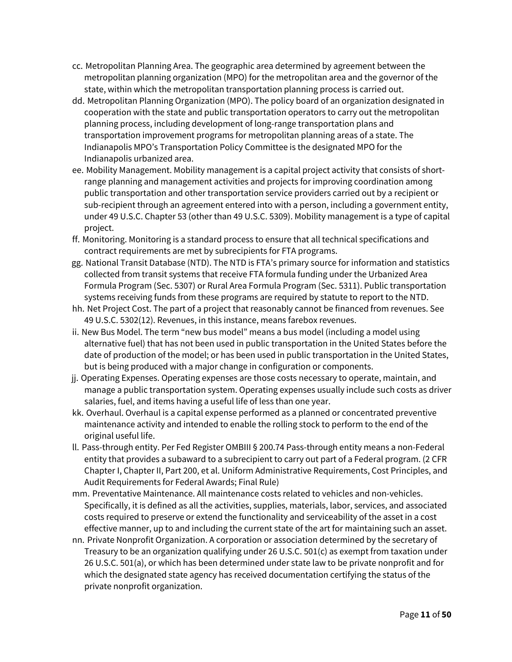- cc. Metropolitan Planning Area. The geographic area determined by agreement between the metropolitan planning organization (MPO) for the metropolitan area and the governor of the state, within which the metropolitan transportation planning process is carried out.
- dd. Metropolitan Planning Organization (MPO). The policy board of an organization designated in cooperation with the state and public transportation operators to carry out the metropolitan planning process, including development of long-range transportation plans and transportation improvement programs for metropolitan planning areas of a state. The Indianapolis MPO's Transportation Policy Committee is the designated MPO for the Indianapolis urbanized area.
- ee. Mobility Management. Mobility management is a capital project activity that consists of shortrange planning and management activities and projects for improving coordination among public transportation and other transportation service providers carried out by a recipient or sub-recipient through an agreement entered into with a person, including a government entity, under 49 U.S.C. Chapter 53 (other than 49 U.S.C. 5309). Mobility management is a type of capital project.
- ff. Monitoring. Monitoring is a standard process to ensure that all technical specifications and contract requirements are met by subrecipients for FTA programs.
- gg. National Transit Database (NTD). The NTD is FTA's primary source for information and statistics collected from transit systems that receive FTA formula funding under the Urbanized Area Formula Program (Sec. 5307) or Rural Area Formula Program (Sec. 5311). Public transportation systems receiving funds from these programs are required by statute to report to the NTD.
- hh. Net Project Cost. The part of a project that reasonably cannot be financed from revenues. See 49 U.S.C. 5302(12). Revenues, in this instance, means farebox revenues.
- ii. New Bus Model. The term "new bus model" means a bus model (including a model using alternative fuel) that has not been used in public transportation in the United States before the date of production of the model; or has been used in public transportation in the United States, but is being produced with a major change in configuration or components.
- jj. Operating Expenses. Operating expenses are those costs necessary to operate, maintain, and manage a public transportation system. Operating expenses usually include such costs as driver salaries, fuel, and items having a useful life of less than one year.
- kk. Overhaul. Overhaul is a capital expense performed as a planned or concentrated preventive maintenance activity and intended to enable the rolling stock to perform to the end of the original useful life.
- ll. Pass-through entity. Per Fed Register OMBIII § 200.74 Pass-through entity means a non-Federal entity that provides a subaward to a subrecipient to carry out part of a Federal program. (2 CFR Chapter I, Chapter II, Part 200, et al. Uniform Administrative Requirements, Cost Principles, and Audit Requirements for Federal Awards; Final Rule)
- mm. Preventative Maintenance. All maintenance costs related to vehicles and non-vehicles. Specifically, it is defined as all the activities, supplies, materials, labor, services, and associated costs required to preserve or extend the functionality and serviceability of the asset in a cost effective manner, up to and including the current state of the art for maintaining such an asset.
- nn. Private Nonprofit Organization. A corporation or association determined by the secretary of Treasury to be an organization qualifying under 26 U.S.C. 501(c) as exempt from taxation under 26 U.S.C. 501(a), or which has been determined under state law to be private nonprofit and for which the designated state agency has received documentation certifying the status of the private nonprofit organization.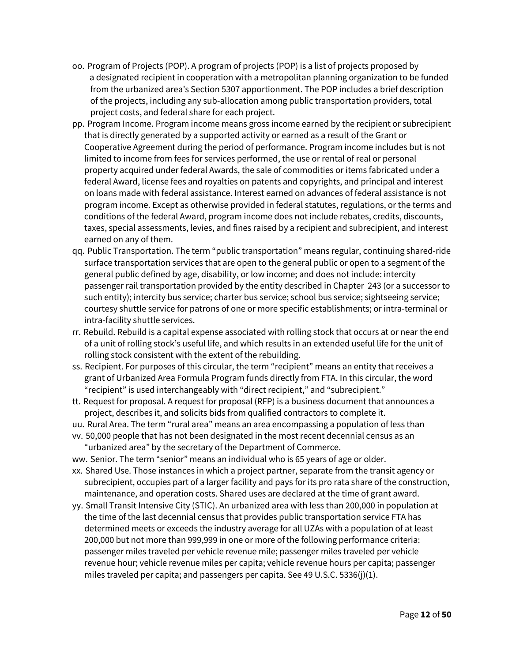- oo. Program of Projects (POP). A program of projects (POP) is a list of projects proposed by a designated recipient in cooperation with a metropolitan planning organization to be funded from the urbanized area's Section 5307 apportionment. The POP includes a brief description of the projects, including any sub-allocation among public transportation providers, total project costs, and federal share for each project.
- pp. Program Income. Program income means gross income earned by the recipient or subrecipient that is directly generated by a supported activity or earned as a result of the Grant or Cooperative Agreement during the period of performance. Program income includes but is not limited to income from fees for services performed, the use or rental of real or personal property acquired under federal Awards, the sale of commodities or items fabricated under a federal Award, license fees and royalties on patents and copyrights, and principal and interest on loans made with federal assistance. Interest earned on advances of federal assistance is not program income. Except as otherwise provided in federal statutes, regulations, or the terms and conditions of the federal Award, program income does not include rebates, credits, discounts, taxes, special assessments, levies, and fines raised by a recipient and subrecipient, and interest earned on any of them.
- qq. Public Transportation. The term "public transportation" means regular, continuing shared-ride surface transportation services that are open to the general public or open to a segment of the general public defined by age, disability, or low income; and does not include: intercity passenger rail transportation provided by the entity described in Chapter 243 (or a successor to such entity); intercity bus service; charter bus service; school bus service; sightseeing service; courtesy shuttle service for patrons of one or more specific establishments; or intra-terminal or intra-facility shuttle services.
- rr. Rebuild. Rebuild is a capital expense associated with rolling stock that occurs at or near the end of a unit of rolling stock's useful life, and which results in an extended useful life for the unit of rolling stock consistent with the extent of the rebuilding.
- ss. Recipient. For purposes of this circular, the term "recipient" means an entity that receives a grant of Urbanized Area Formula Program funds directly from FTA. In this circular, the word "recipient" is used interchangeably with "direct recipient," and "subrecipient."
- tt. Request for proposal. A request for proposal (RFP) is a business document that announces a project, describes it, and solicits bids from qualified contractors to complete it.
- uu. Rural Area. The term "rural area" means an area encompassing a population of less than
- vv. 50,000 people that has not been designated in the most recent decennial census as an "urbanized area" by the secretary of the Department of Commerce.

ww. Senior. The term "senior" means an individual who is 65 years of age or older.

- xx. Shared Use. Those instances in which a project partner, separate from the transit agency or subrecipient, occupies part of a larger facility and pays for its pro rata share of the construction, maintenance, and operation costs. Shared uses are declared at the time of grant award.
- yy. Small Transit Intensive City (STIC). An urbanized area with less than 200,000 in population at the time of the last decennial census that provides public transportation service FTA has determined meets or exceeds the industry average for all UZAs with a population of at least 200,000 but not more than 999,999 in one or more of the following performance criteria: passenger miles traveled per vehicle revenue mile; passenger miles traveled per vehicle revenue hour; vehicle revenue miles per capita; vehicle revenue hours per capita; passenger miles traveled per capita; and passengers per capita. See 49 U.S.C. 5336(j)(1).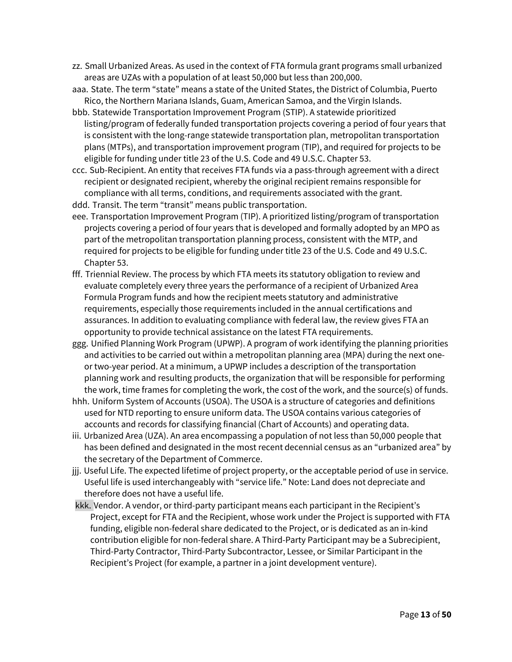- zz. Small Urbanized Areas. As used in the context of FTA formula grant programs small urbanized areas are UZAs with a population of at least 50,000 but less than 200,000.
- aaa. State. The term "state" means a state of the United States, the District of Columbia, Puerto Rico, the Northern Mariana Islands, Guam, American Samoa, and the Virgin Islands.
- bbb. Statewide Transportation Improvement Program (STIP). A statewide prioritized listing/program of federally funded transportation projects covering a period of four years that is consistent with the long-range statewide transportation plan, metropolitan transportation plans (MTPs), and transportation improvement program (TIP), and required for projects to be eligible for funding under title 23 of the U.S. Code and 49 U.S.C. Chapter 53.
- ccc. Sub-Recipient. An entity that receives FTA funds via a pass-through agreement with a direct recipient or designated recipient, whereby the original recipient remains responsible for compliance with all terms, conditions, and requirements associated with the grant.
- ddd. Transit. The term "transit" means public transportation.
- eee. Transportation Improvement Program (TIP). A prioritized listing/program of transportation projects covering a period of four years that is developed and formally adopted by an MPO as part of the metropolitan transportation planning process, consistent with the MTP, and required for projects to be eligible for funding under title 23 of the U.S. Code and 49 U.S.C. Chapter 53.
- fff. Triennial Review. The process by which FTA meets its statutory obligation to review and evaluate completely every three years the performance of a recipient of Urbanized Area Formula Program funds and how the recipient meets statutory and administrative requirements, especially those requirements included in the annual certifications and assurances. In addition to evaluating compliance with federal law, the review gives FTA an opportunity to provide technical assistance on the latest FTA requirements.
- ggg. Unified Planning Work Program (UPWP). A program of work identifying the planning priorities and activities to be carried out within a metropolitan planning area (MPA) during the next oneor two-year period. At a minimum, a UPWP includes a description of the transportation planning work and resulting products, the organization that will be responsible for performing the work, time frames for completing the work, the cost of the work, and the source(s) of funds.
- hhh. Uniform System of Accounts (USOA). The USOA is a structure of categories and definitions used for NTD reporting to ensure uniform data. The USOA contains various categories of accounts and records for classifying financial (Chart of Accounts) and operating data.
- iii. Urbanized Area (UZA). An area encompassing a population of not less than 50,000 people that has been defined and designated in the most recent decennial census as an "urbanized area" by the secretary of the Department of Commerce.
- jjj. Useful Life. The expected lifetime of project property, or the acceptable period of use in service. Useful life is used interchangeably with "service life." Note: Land does not depreciate and therefore does not have a useful life.
- kkk. Vendor. A vendor, or third-party participant means each participant in the Recipient's Project, except for FTA and the Recipient, whose work under the Project is supported with FTA funding, eligible non-federal share dedicated to the Project, or is dedicated as an in-kind contribution eligible for non-federal share. A Third-Party Participant may be a Subrecipient, Third-Party Contractor, Third-Party Subcontractor, Lessee, or Similar Participant in the Recipient's Project (for example, a partner in a joint development venture).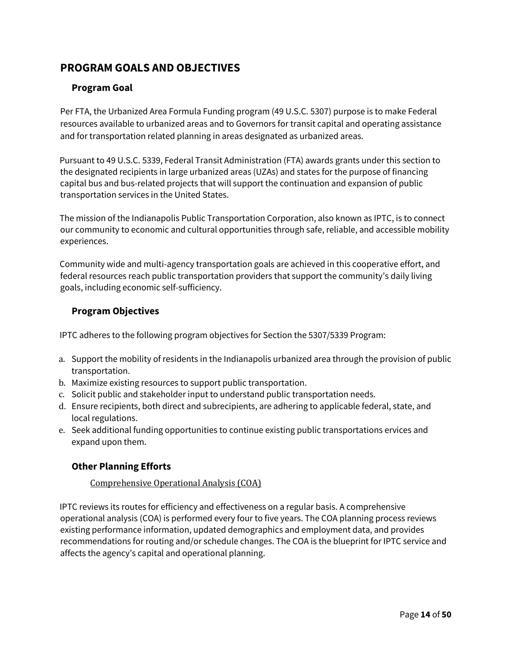# <span id="page-13-1"></span><span id="page-13-0"></span>**PROGRAM GOALS AND OBJECTIVES**

# **Program Goal**

Per FTA, the Urbanized Area Formula Funding program (49 U.S.C. 5307) purpose is to make Federal resources available to urbanized areas and to Governors for transit capital and operating assistance and for transportation related planning in areas designated as urbanized areas.

Pursuant to 49 U.S.C. 5339, Federal Transit Administration (FTA) awards grants under this section to the designated recipients in large urbanized areas (UZAs) and states for the purpose of financing capital bus and bus-related projects that will support the continuation and expansion of public transportation services in the United States.

The mission of the Indianapolis Public Transportation Corporation, also known as IPTC, is to connect our community to economic and cultural opportunities through safe, reliable, and accessible mobility experiences.

Community wide and multi-agency transportation goals are achieved in this cooperative effort, and federal resources reach public transportation providers that support the community's daily living goals, including economic self-sufficiency.

# <span id="page-13-2"></span>**Program Objectives**

IPTC adheres to the following program objectives for Section the 5307/5339 Program:

- a. Support the mobility of residents in the Indianapolis urbanized area through the provision of public transportation.
- b. Maximize existing resources to support public transportation.
- c. Solicit public and stakeholder input to understand public transportation needs.
- d. Ensure recipients, both direct and subrecipients, are adhering to applicable federal, state, and local regulations.
- e. Seek additional funding opportunities to continue existing public transportations ervices and expand upon them.

# <span id="page-13-4"></span><span id="page-13-3"></span>**Other Planning Efforts**

### Comprehensive Operational Analysis (COA)

IPTC reviews its routes for efficiency and effectiveness on a regular basis. A comprehensive operational analysis (COA) is performed every four to five years. The COA planning process reviews existing performance information, updated demographics and employment data, and provides recommendations for routing and/or schedule changes. The COA is the blueprint for IPTC service and affects the agency's capital and operational planning.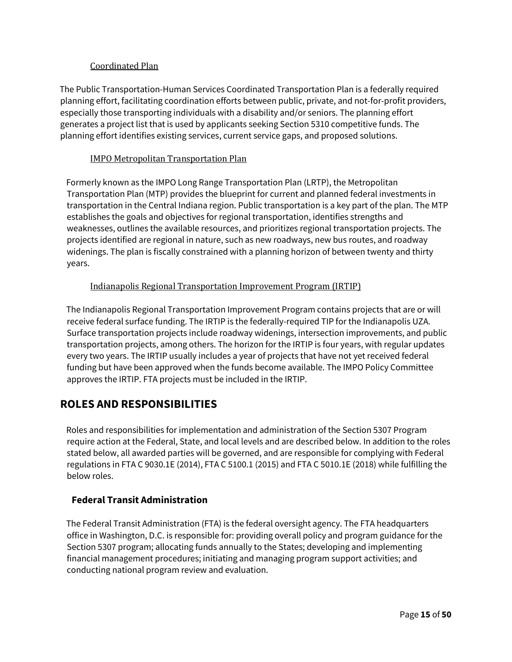### Coordinated Plan

<span id="page-14-0"></span>The Public Transportation-Human Services Coordinated Transportation Plan is a federally required planning effort, facilitating coordination efforts between public, private, and not-for-profit providers, especially those transporting individuals with a disability and/or seniors. The planning effort generates a project list that is used by applicants seeking Section 5310 competitive funds. The planning effort identifies existing services, current service gaps, and proposed solutions.

### IMPO Metropolitan Transportation Plan

<span id="page-14-1"></span>Formerly known as the IMPO Long Range Transportation Plan (LRTP), the Metropolitan Transportation Plan (MTP) provides the blueprint for current and planned federal investments in transportation in the Central Indiana region. Public transportation is a key part of the plan. The MTP establishes the goals and objectives for regional transportation, identifies strengths and weaknesses, outlines the available resources, and prioritizes regional transportation projects. The projects identified are regional in nature, such as new roadways, new bus routes, and roadway widenings. The plan is fiscally constrained with a planning horizon of between twenty and thirty years.

### Indianapolis Regional Transportation Improvement Program (IRTIP)

<span id="page-14-2"></span>The Indianapolis Regional Transportation Improvement Program contains projects that are or will receive federal surface funding. The IRTIP is the federally-required TIP for the Indianapolis UZA. Surface transportation projects include roadway widenings, intersection improvements, and public transportation projects, among others. The horizon for the IRTIP is four years, with regular updates every two years. The IRTIP usually includes a year of projects that have not yet received federal funding but have been approved when the funds become available. The IMPO Policy Committee approves the IRTIP. FTA projects must be included in the IRTIP.

# <span id="page-14-3"></span>**ROLES AND RESPONSIBILITIES**

Roles and responsibilities for implementation and administration of the Section 5307 Program require action at the Federal, State, and local levels and are described below. In addition to the roles stated below, all awarded parties will be governed, and are responsible for complying with Federal regulations in FTA C 9030.1E (2014), FTA C 5100.1 (2015) and FTA C 5010.1E (2018) while fulfilling the below roles.

# <span id="page-14-4"></span>**Federal Transit Administration**

The Federal Transit Administration (FTA) is the federal oversight agency. The FTA headquarters office in Washington, D.C. is responsible for: providing overall policy and program guidance for the Section 5307 program; allocating funds annually to the States; developing and implementing financial management procedures; initiating and managing program support activities; and conducting national program review and evaluation.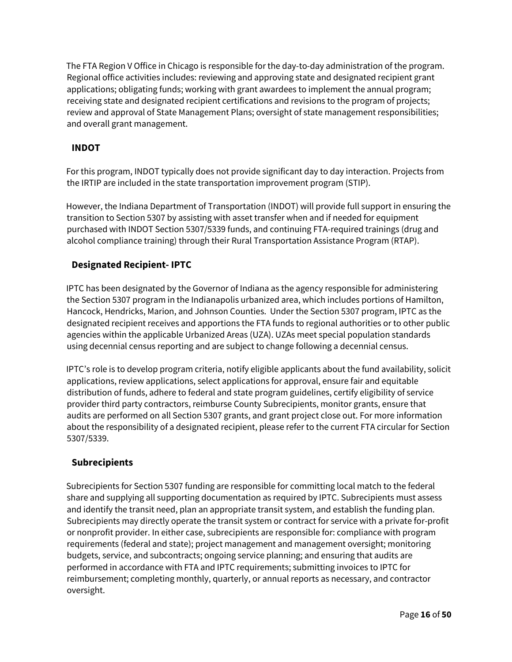The FTA Region V Office in Chicago is responsible for the day-to-day administration of the program. Regional office activities includes: reviewing and approving state and designated recipient grant applications; obligating funds; working with grant awardees to implement the annual program; receiving state and designated recipient certifications and revisions to the program of projects; review and approval of State Management Plans; oversight of state management responsibilities; and overall grant management.

# <span id="page-15-0"></span>**INDOT**

For this program, INDOT typically does not provide significant day to day interaction. Projects from the IRTIP are included in the state transportation improvement program (STIP).

However, the Indiana Department of Transportation (INDOT) will provide full support in ensuring the transition to Section 5307 by assisting with asset transfer when and if needed for equipment purchased with INDOT Section 5307/5339 funds, and continuing FTA-required trainings (drug and alcohol compliance training) through their Rural Transportation Assistance Program (RTAP).

# <span id="page-15-1"></span>**Designated Recipient- IPTC**

IPTC has been designated by the Governor of Indiana as the agency responsible for administering the Section 5307 program in the Indianapolis urbanized area, which includes portions of Hamilton, Hancock, Hendricks, Marion, and Johnson Counties. Under the Section 5307 program, IPTC as the designated recipient receives and apportions the FTA funds to regional authorities or to other public agencies within the applicable Urbanized Areas (UZA). UZAs meet special population standards using decennial census reporting and are subject to change following a decennial census.

IPTC's role is to develop program criteria, notify eligible applicants about the fund availability, solicit applications, review applications, select applications for approval, ensure fair and equitable distribution of funds, adhere to federal and state program guidelines, certify eligibility of service provider third party contractors, reimburse County Subrecipients, monitor grants, ensure that audits are performed on all Section 5307 grants, and grant project close out. For more information about the responsibility of a designated recipient, please refer to the current FTA circular for Section 5307/5339.

# <span id="page-15-2"></span>**Subrecipients**

Subrecipients for Section 5307 funding are responsible for committing local match to the federal share and supplying all supporting documentation as required by IPTC. Subrecipients must assess and identify the transit need, plan an appropriate transit system, and establish the funding plan. Subrecipients may directly operate the transit system or contract for service with a private for-profit or nonprofit provider. In either case, subrecipients are responsible for: compliance with program requirements (federal and state); project management and management oversight; monitoring budgets, service, and subcontracts; ongoing service planning; and ensuring that audits are performed in accordance with FTA and IPTC requirements; submitting invoices to IPTC for reimbursement; completing monthly, quarterly, or annual reports as necessary, and contractor oversight.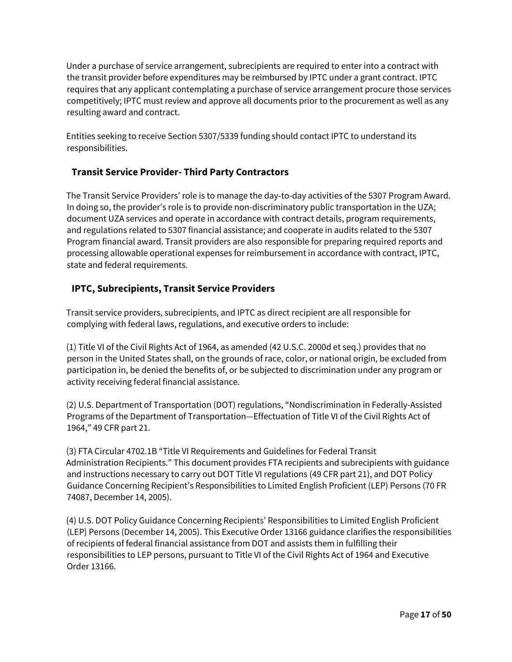Under a purchase of service arrangement, subrecipients are required to enter into a contract with the transit provider before expenditures may be reimbursed by IPTC under a grant contract. IPTC requires that any applicant contemplating a purchase of service arrangement procure those services competitively; IPTC must review and approve all documents prior to the procurement as well as any resulting award and contract.

Entities seeking to receive Section 5307/5339 funding should contact IPTC to understand its responsibilities.

# <span id="page-16-0"></span>**Transit Service Provider- Third Party Contractors**

The Transit Service Providers' role is to manage the day-to-day activities of the 5307 Program Award. In doing so, the provider's role is to provide non-discriminatory public transportation in the UZA; document UZA services and operate in accordance with contract details, program requirements, and regulations related to 5307 financial assistance; and cooperate in audits related to the 5307 Program financial award. Transit providers are also responsible for preparing required reports and processing allowable operational expenses for reimbursement in accordance with contract, IPTC, state and federal requirements.

# <span id="page-16-1"></span>**IPTC, Subrecipients, Transit Service Providers**

Transit service providers, subrecipients, and IPTC as direct recipient are all responsible for complying with federal laws, regulations, and executive orders to include:

(1) Title VI of the Civil Rights Act of 1964, as amended (42 U.S.C. 2000d et seq.) provides that no person in the United States shall, on the grounds of race, color, or national origin, be excluded from participation in, be denied the benefits of, or be subjected to discrimination under any program or activity receiving federal financial assistance.

(2) U.S. Department of Transportation (DOT) regulations, "Nondiscrimination in Federally-Assisted Programs of the Department of Transportation—Effectuation of Title VI of the Civil Rights Act of 1964," 49 CFR part 21.

(3) FTA Circular 4702.1B "Title VI Requirements and Guidelines for Federal Transit Administration Recipients." This document provides FTA recipients and subrecipients with guidance and instructions necessary to carry out DOT Title VI regulations (49 CFR part 21), and DOT Policy Guidance Concerning Recipient's Responsibilities to Limited English Proficient (LEP) Persons (70 FR 74087, December 14, 2005).

(4) U.S. DOT Policy Guidance Concerning Recipients' Responsibilities to Limited English Proficient (LEP) Persons (December 14, 2005). This Executive Order 13166 guidance clarifies the responsibilities of recipients of federal financial assistance from DOT and assists them in fulfilling their responsibilities to LEP persons, pursuant to Title VI of the Civil Rights Act of 1964 and Executive Order 13166.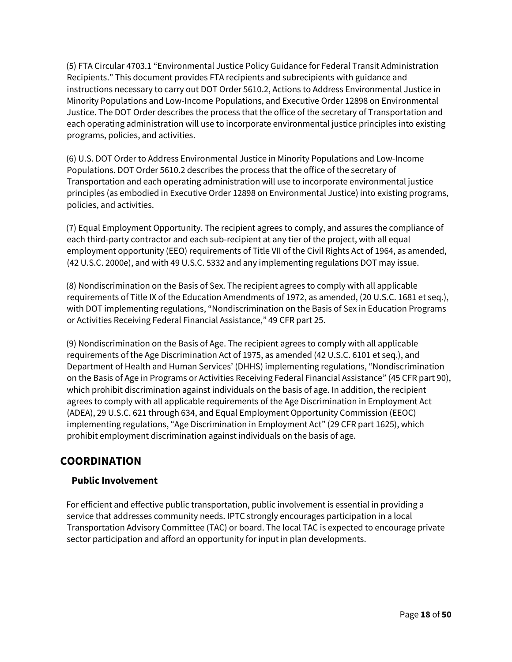(5) FTA Circular 4703.1 "Environmental Justice Policy Guidance for Federal Transit Administration Recipients." This document provides FTA recipients and subrecipients with guidance and instructions necessary to carry out DOT Order 5610.2, Actions to Address Environmental Justice in Minority Populations and Low-Income Populations, and Executive Order 12898 on Environmental Justice. The DOT Order describes the process that the office of the secretary of Transportation and each operating administration will use to incorporate environmental justice principles into existing programs, policies, and activities.

(6) U.S. DOT Order to Address Environmental Justice in Minority Populations and Low-Income Populations. DOT Order 5610.2 describes the process that the office of the secretary of Transportation and each operating administration will use to incorporate environmental justice principles (as embodied in Executive Order 12898 on Environmental Justice) into existing programs, policies, and activities.

(7) Equal Employment Opportunity. The recipient agrees to comply, and assures the compliance of each third-party contractor and each sub-recipient at any tier of the project, with all equal employment opportunity (EEO) requirements of Title VII of the Civil Rights Act of 1964, as amended, (42 U.S.C. 2000e), and with 49 U.S.C. 5332 and any implementing regulations DOT may issue.

(8) Nondiscrimination on the Basis of Sex. The recipient agrees to comply with all applicable requirements of Title IX of the Education Amendments of 1972, as amended, (20 U.S.C. 1681 et seq.), with DOT implementing regulations, "Nondiscrimination on the Basis of Sex in Education Programs or Activities Receiving Federal Financial Assistance," 49 CFR part 25.

(9) Nondiscrimination on the Basis of Age. The recipient agrees to comply with all applicable requirements of the Age Discrimination Act of 1975, as amended (42 U.S.C. 6101 et seq.), and Department of Health and Human Services' (DHHS) implementing regulations, "Nondiscrimination on the Basis of Age in Programs or Activities Receiving Federal Financial Assistance" (45 CFR part 90), which prohibit discrimination against individuals on the basis of age. In addition, the recipient agrees to comply with all applicable requirements of the Age Discrimination in Employment Act (ADEA), 29 U.S.C. 621 through 634, and Equal Employment Opportunity Commission (EEOC) implementing regulations, "Age Discrimination in Employment Act" (29 CFR part 1625), which prohibit employment discrimination against individuals on the basis of age.

# <span id="page-17-1"></span><span id="page-17-0"></span>**COORDINATION**

# **Public Involvement**

For efficient and effective public transportation, public involvement is essential in providing a service that addresses community needs. IPTC strongly encourages participation in a local Transportation Advisory Committee (TAC) or board. The local TAC is expected to encourage private sector participation and afford an opportunity for input in plan developments.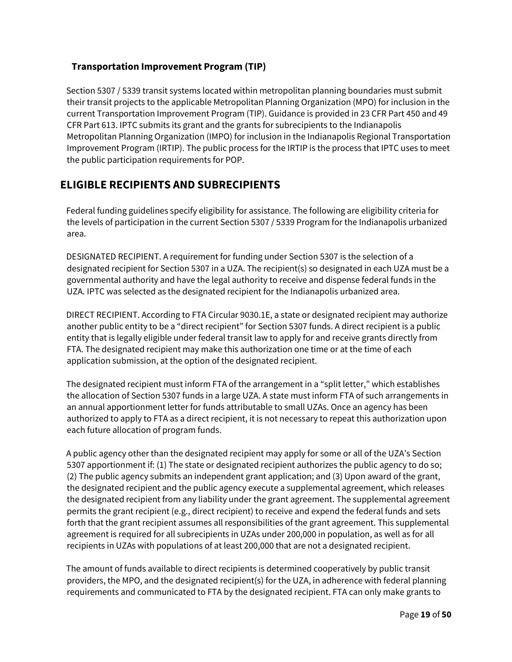# <span id="page-18-0"></span>**Transportation Improvement Program (TIP)**

Section 5307 / 5339 transit systems located within metropolitan planning boundaries must submit their transit projects to the applicable Metropolitan Planning Organization (MPO) for inclusion in the current Transportation Improvement Program (TIP). Guidance is provided in 23 CFR Part 450 and 49 CFR Part 613. IPTC submits its grant and the grants for subrecipients to the Indianapolis Metropolitan Planning Organization (IMPO) for inclusion in the Indianapolis Regional Transportation Improvement Program (IRTIP). The public process for the IRTIP is the process that IPTC uses to meet the public participation requirements for POP.

# <span id="page-18-1"></span>**ELIGIBLE RECIPIENTS AND SUBRECIPIENTS**

Federal funding guidelines specify eligibility for assistance. The following are eligibility criteria for the levels of participation in the current Section 5307 / 5339 Program for the Indianapolis urbanized area.

DESIGNATED RECIPIENT. A requirement for funding under Section 5307 is the selection of a designated recipient for Section 5307 in a UZA. The recipient(s) so designated in each UZA must be a governmental authority and have the legal authority to receive and dispense federal funds in the UZA. IPTC was selected as the designated recipient for the Indianapolis urbanized area.

DIRECT RECIPIENT. According to FTA Circular 9030.1E, a state or designated recipient may authorize another public entity to be a "direct recipient" for Section 5307 funds. A direct recipient is a public entity that is legally eligible under federal transit law to apply for and receive grants directly from FTA. The designated recipient may make this authorization one time or at the time of each application submission, at the option of the designated recipient.

The designated recipient must inform FTA of the arrangement in a "split letter," which establishes the allocation of Section 5307 funds in a large UZA. A state must inform FTA of such arrangements in an annual apportionment letter for funds attributable to small UZAs. Once an agency has been authorized to apply to FTA as a direct recipient, it is not necessary to repeat this authorization upon each future allocation of program funds.

A public agency other than the designated recipient may apply for some or all of the UZA's Section 5307 apportionment if: (1) The state or designated recipient authorizes the public agency to do so; (2) The public agency submits an independent grant application; and (3) Upon award of the grant, the designated recipient and the public agency execute a supplemental agreement, which releases the designated recipient from any liability under the grant agreement. The supplemental agreement permits the grant recipient (e.g., direct recipient) to receive and expend the federal funds and sets forth that the grant recipient assumes all responsibilities of the grant agreement. This supplemental agreement is required for all subrecipients in UZAs under 200,000 in population, as well as for all recipients in UZAs with populations of at least 200,000 that are not a designated recipient.

The amount of funds available to direct recipients is determined cooperatively by public transit providers, the MPO, and the designated recipient(s) for the UZA, in adherence with federal planning requirements and communicated to FTA by the designated recipient. FTA can only make grants to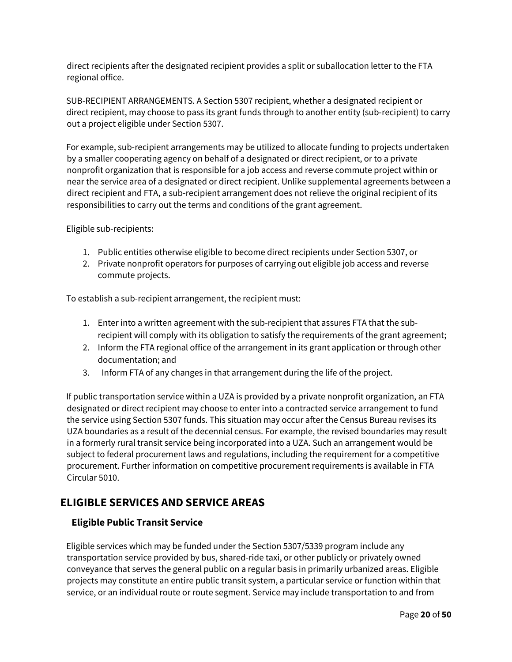direct recipients after the designated recipient provides a split or suballocation letter to the FTA regional office.

SUB-RECIPIENT ARRANGEMENTS. A Section 5307 recipient, whether a designated recipient or direct recipient, may choose to pass its grant funds through to another entity (sub-recipient) to carry out a project eligible under Section 5307.

For example, sub-recipient arrangements may be utilized to allocate funding to projects undertaken by a smaller cooperating agency on behalf of a designated or direct recipient, or to a private nonprofit organization that is responsible for a job access and reverse commute project within or near the service area of a designated or direct recipient. Unlike supplemental agreements between a direct recipient and FTA, a sub-recipient arrangement does not relieve the original recipient of its responsibilities to carry out the terms and conditions of the grant agreement.

Eligible sub-recipients:

- 1. Public entities otherwise eligible to become direct recipients under Section 5307, or
- 2. Private nonprofit operators for purposes of carrying out eligible job access and reverse commute projects.

To establish a sub-recipient arrangement, the recipient must:

- 1. Enter into a written agreement with the sub-recipient that assures FTA that the subrecipient will comply with its obligation to satisfy the requirements of the grant agreement;
- 2. Inform the FTA regional office of the arrangement in its grant application or through other documentation; and
- 3. Inform FTA of any changes in that arrangement during the life of the project.

If public transportation service within a UZA is provided by a private nonprofit organization, an FTA designated or direct recipient may choose to enter into a contracted service arrangement to fund the service using Section 5307 funds. This situation may occur after the Census Bureau revises its UZA boundaries as a result of the decennial census. For example, the revised boundaries may result in a formerly rural transit service being incorporated into a UZA. Such an arrangement would be subject to federal procurement laws and regulations, including the requirement for a competitive procurement. Further information on competitive procurement requirements is available in FTA Circular 5010.

# <span id="page-19-1"></span><span id="page-19-0"></span>**ELIGIBLE SERVICES AND SERVICE AREAS**

# **Eligible Public Transit Service**

Eligible services which may be funded under the Section 5307/5339 program include any transportation service provided by bus, shared-ride taxi, or other publicly or privately owned conveyance that serves the general public on a regular basis in primarily urbanized areas. Eligible projects may constitute an entire public transit system, a particular service or function within that service, or an individual route or route segment. Service may include transportation to and from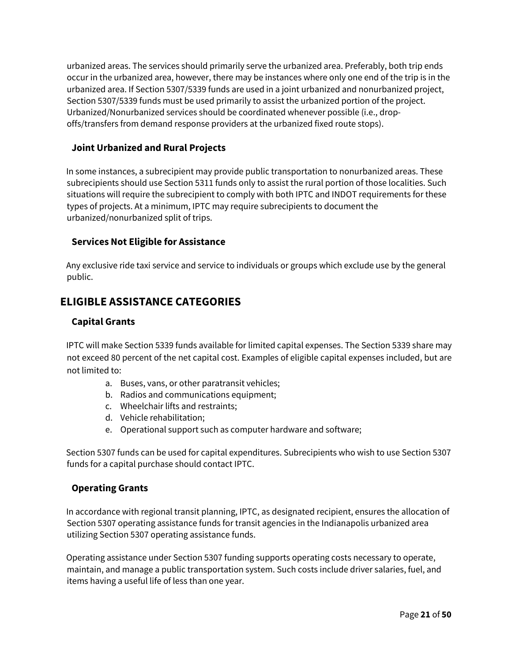urbanized areas. The services should primarily serve the urbanized area. Preferably, both trip ends occur in the urbanized area, however, there may be instances where only one end of the trip is in the urbanized area. If Section 5307/5339 funds are used in a joint urbanized and nonurbanized project, Section 5307/5339 funds must be used primarily to assist the urbanized portion of the project. Urbanized/Nonurbanized services should be coordinated whenever possible (i.e., dropoffs/transfers from demand response providers at the urbanized fixed route stops).

# <span id="page-20-0"></span>**Joint Urbanized and Rural Projects**

In some instances, a subrecipient may provide public transportation to nonurbanized areas. These subrecipients should use Section 5311 funds only to assist the rural portion of those localities. Such situations will require the subrecipient to comply with both IPTC and INDOT requirements for these types of projects. At a minimum, IPTC may require subrecipients to document the urbanized/nonurbanized split of trips.

### <span id="page-20-1"></span>**Services Not Eligible for Assistance**

Any exclusive ride taxi service and service to individuals or groups which exclude use by the general public.

# <span id="page-20-3"></span><span id="page-20-2"></span>**ELIGIBLE ASSISTANCE CATEGORIES**

### **Capital Grants**

IPTC will make Section 5339 funds available for limited capital expenses. The Section 5339 share may not exceed 80 percent of the net capital cost. Examples of eligible capital expenses included, but are not limited to:

- a. Buses, vans, or other paratransit vehicles;
- b. Radios and communications equipment;
- c. Wheelchair lifts and restraints;
- d. Vehicle rehabilitation;
- e. Operational support such as computer hardware and software;

Section 5307 funds can be used for capital expenditures. Subrecipients who wish to use Section 5307 funds for a capital purchase should contact IPTC.

### <span id="page-20-4"></span>**Operating Grants**

In accordance with regional transit planning, IPTC, as designated recipient, ensures the allocation of Section 5307 operating assistance funds for transit agencies in the Indianapolis urbanized area utilizing Section 5307 operating assistance funds.

Operating assistance under Section 5307 funding supports operating costs necessary to operate, maintain, and manage a public transportation system. Such costs include driver salaries, fuel, and items having a useful life of less than one year.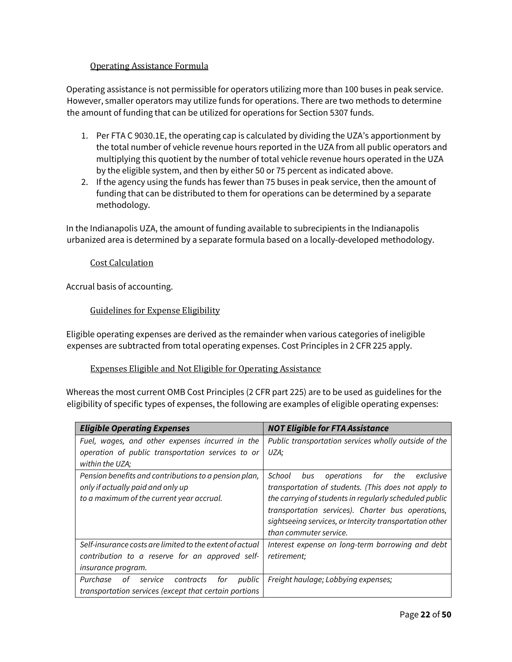### Operating Assistance Formula

<span id="page-21-0"></span>Operating assistance is not permissible for operators utilizing more than 100 buses in peak service. However, smaller operators may utilize funds for operations. There are two methods to determine the amount of funding that can be utilized for operations for Section 5307 funds.

- 1. Per FTA C 9030.1E, the operating cap is calculated by dividing the UZA's apportionment by the total number of vehicle revenue hours reported in the UZA from all public operators and multiplying this quotient by the number of total vehicle revenue hours operated in the UZA by the eligible system, and then by either 50 or 75 percent as indicated above.
- 2. If the agency using the funds has fewer than 75 buses in peak service, then the amount of funding that can be distributed to them for operations can be determined by a separate methodology.

In the Indianapolis UZA, the amount of funding available to subrecipients in the Indianapolis urbanized area is determined by a separate formula based on a locally-developed methodology.

#### Cost Calculation

Accrual basis of accounting.

#### Guidelines for Expense Eligibility

Eligible operating expenses are derived as the remainder when various categories of ineligible expenses are subtracted from total operating expenses. Cost Principles in 2 CFR 225 apply.

#### Expenses Eligible and Not Eligible for Operating Assistance

Whereas the most current OMB Cost Principles (2 CFR part 225) are to be used as guidelines for the eligibility of specific types of expenses, the following are examples of eligible operating expenses:

| <b>Eligible Operating Expenses</b>                       | <b>NOT Eligible for FTA Assistance</b>                  |  |  |  |  |
|----------------------------------------------------------|---------------------------------------------------------|--|--|--|--|
| Fuel, wages, and other expenses incurred in the          | Public transportation services wholly outside of the    |  |  |  |  |
| operation of public transportation services to or        | UZA;                                                    |  |  |  |  |
| within the UZA;                                          |                                                         |  |  |  |  |
| Pension benefits and contributions to a pension plan,    | School<br>for<br>the<br>exclusive<br>bus<br>operations  |  |  |  |  |
| only if actually paid and only up                        | transportation of students. (This does not apply to     |  |  |  |  |
| to a maximum of the current year accrual.                | the carrying of students in regularly scheduled public  |  |  |  |  |
|                                                          | transportation services). Charter bus operations,       |  |  |  |  |
|                                                          | sightseeing services, or Intercity transportation other |  |  |  |  |
|                                                          | than commuter service.                                  |  |  |  |  |
| Self-insurance costs are limited to the extent of actual | Interest expense on long-term borrowing and debt        |  |  |  |  |
| contribution to a reserve for an approved self-          | retirement;                                             |  |  |  |  |
| insurance program.                                       |                                                         |  |  |  |  |
| Purchase<br>contracts<br>public<br>οf<br>for<br>service  | Freight haulage; Lobbying expenses;                     |  |  |  |  |
| transportation services (except that certain portions    |                                                         |  |  |  |  |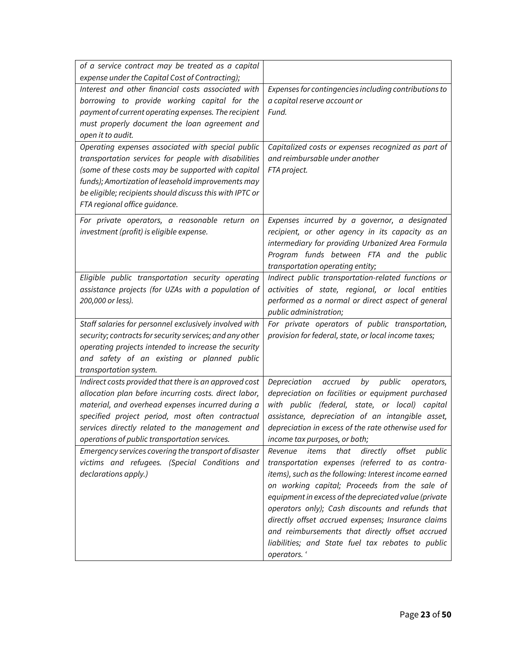| of a service contract may be treated as a capital<br>expense under the Capital Cost of Contracting);                                                                                                                                                                                                                         |                                                                                                                                                                                                                                                                                                                                                                                                                                                                                                              |
|------------------------------------------------------------------------------------------------------------------------------------------------------------------------------------------------------------------------------------------------------------------------------------------------------------------------------|--------------------------------------------------------------------------------------------------------------------------------------------------------------------------------------------------------------------------------------------------------------------------------------------------------------------------------------------------------------------------------------------------------------------------------------------------------------------------------------------------------------|
| Interest and other financial costs associated with<br>borrowing to provide working capital for the<br>payment of current operating expenses. The recipient<br>must properly document the loan agreement and<br>open it to audit.                                                                                             | Expenses for contingencies including contributions to<br>a capital reserve account or<br>Fund.                                                                                                                                                                                                                                                                                                                                                                                                               |
| Operating expenses associated with special public<br>transportation services for people with disabilities<br>(some of these costs may be supported with capital<br>funds); Amortization of leasehold improvements may<br>be eligible; recipients should discuss this with IPTC or<br>FTA regional office guidance.           | Capitalized costs or expenses recognized as part of<br>and reimbursable under another<br>FTA project.                                                                                                                                                                                                                                                                                                                                                                                                        |
| For private operators, a reasonable return on<br>investment (profit) is eligible expense.                                                                                                                                                                                                                                    | Expenses incurred by a governor, a designated<br>recipient, or other agency in its capacity as an<br>intermediary for providing Urbanized Area Formula<br>Program funds between FTA and the public<br>transportation operating entity;                                                                                                                                                                                                                                                                       |
| Eligible public transportation security operating<br>assistance projects (for UZAs with a population of<br>200,000 or less).                                                                                                                                                                                                 | Indirect public transportation-related functions or<br>activities of state, regional, or local entities<br>performed as a normal or direct aspect of general<br>public administration;                                                                                                                                                                                                                                                                                                                       |
| Staff salaries for personnel exclusively involved with<br>security; contracts for security services; and any other<br>operating projects intended to increase the security<br>and safety of an existing or planned public<br>transportation system.                                                                          | For private operators of public transportation,<br>provision for federal, state, or local income taxes;                                                                                                                                                                                                                                                                                                                                                                                                      |
| Indirect costs provided that there is an approved cost<br>allocation plan before incurring costs. direct labor,<br>material, and overhead expenses incurred during a<br>specified project period, most often contractual<br>services directly related to the management and<br>operations of public transportation services. | Depreciation<br>by<br>public<br>accrued<br>operators,<br>depreciation on facilities or equipment purchased<br>with public (federal, state, or local) capital<br>assistance, depreciation of an intangible asset,<br>depreciation in excess of the rate otherwise used for<br>income tax purposes, or both;                                                                                                                                                                                                   |
| Emergency services covering the transport of disaster<br>victims and refugees. (Special Conditions and<br>declarations apply.)                                                                                                                                                                                               | directly offset<br>that<br>public<br>Revenue<br>items<br>transportation expenses (referred to as contra-<br>items), such as the following: Interest income earned<br>on working capital; Proceeds from the sale of<br>equipment in excess of the depreciated value (private<br>operators only); Cash discounts and refunds that<br>directly offset accrued expenses; Insurance claims<br>and reimbursements that directly offset accrued<br>liabilities; and State fuel tax rebates to public<br>operators.' |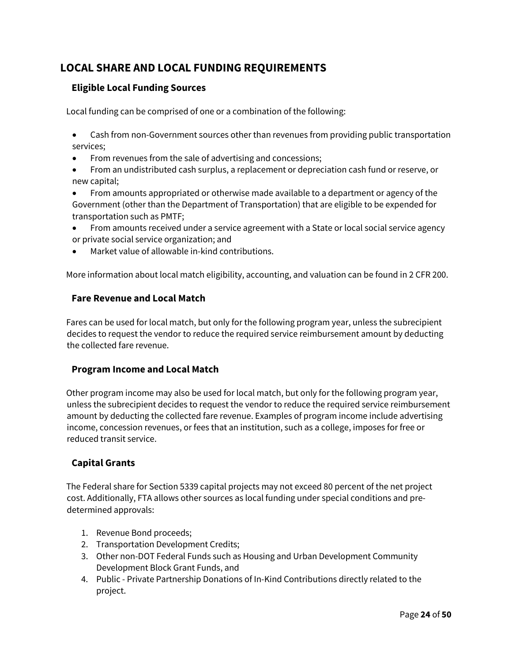# <span id="page-23-0"></span>**LOCAL SHARE AND LOCAL FUNDING REQUIREMENTS**

# <span id="page-23-1"></span>**Eligible Local Funding Sources**

Local funding can be comprised of one or a combination of the following:

- Cash from non-Government sources other than revenues from providing public transportation services;
- From revenues from the sale of advertising and concessions;
- From an undistributed cash surplus, a replacement or depreciation cash fund or reserve, or new capital;
- From amounts appropriated or otherwise made available to a department or agency of the Government (other than the Department of Transportation) that are eligible to be expended for transportation such as PMTF;
- From amounts received under a service agreement with a State or local social service agency or private social service organization; and
- Market value of allowable in-kind contributions.

More information about local match eligibility, accounting, and valuation can be found in 2 CFR 200.

### <span id="page-23-2"></span>**Fare Revenue and Local Match**

Fares can be used for local match, but only for the following program year, unless the subrecipient decides to request the vendor to reduce the required service reimbursement amount by deducting the collected fare revenue.

# <span id="page-23-3"></span>**Program Income and Local Match**

Other program income may also be used for local match, but only for the following program year, unless the subrecipient decides to request the vendor to reduce the required service reimbursement amount by deducting the collected fare revenue. Examples of program income include advertising income, concession revenues, or fees that an institution, such as a college, imposes for free or reduced transit service.

# <span id="page-23-4"></span>**Capital Grants**

The Federal share for Section 5339 capital projects may not exceed 80 percent of the net project cost. Additionally, FTA allows other sources as local funding under special conditions and predetermined approvals:

- 1. Revenue Bond proceeds;
- 2. Transportation Development Credits;
- 3. Other non-DOT Federal Funds such as Housing and Urban Development Community Development Block Grant Funds, and
- 4. Public Private Partnership Donations of In-Kind Contributions directly related to the project.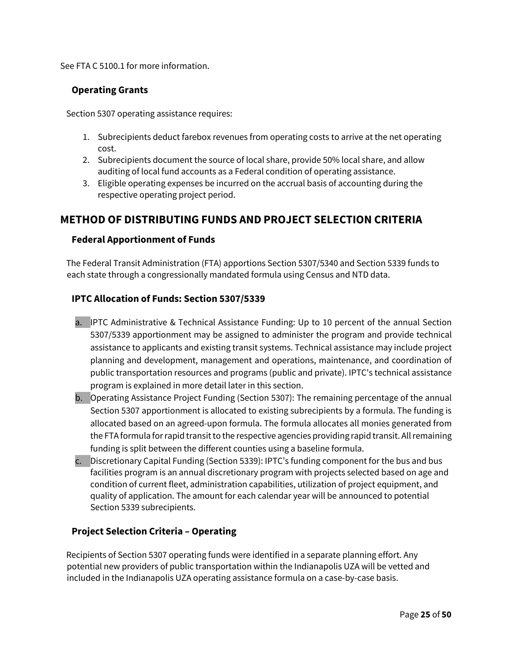See FTA C 5100.1 for more information.

### <span id="page-24-0"></span>**Operating Grants**

Section 5307 operating assistance requires:

- 1. Subrecipients deduct farebox revenues from operating costs to arrive at the net operating cost.
- 2. Subrecipients document the source of local share, provide 50% local share, and allow auditing of local fund accounts as a Federal condition of operating assistance.
- 3. Eligible operating expenses be incurred on the accrual basis of accounting during the respective operating project period.

# <span id="page-24-2"></span><span id="page-24-1"></span>**METHOD OF DISTRIBUTING FUNDS AND PROJECT SELECTION CRITERIA**

### **Federal Apportionment of Funds**

The Federal Transit Administration (FTA) apportions Section 5307/5340 and Section 5339 funds to each state through a congressionally mandated formula using Census and NTD data.

### <span id="page-24-3"></span>**IPTC Allocation of Funds: Section 5307/5339**

- a. IPTC Administrative & Technical Assistance Funding: Up to 10 percent of the annual Section 5307/5339 apportionment may be assigned to administer the program and provide technical assistance to applicants and existing transit systems. Technical assistance may include project planning and development, management and operations, maintenance, and coordination of public transportation resources and programs (public and private). IPTC's technical assistance program is explained in more detail later in this section.
- b. Operating Assistance Project Funding (Section 5307): The remaining percentage of the annual Section 5307 apportionment is allocated to existing subrecipients by a formula. The funding is allocated based on an agreed-upon formula. The formula allocates all monies generated from the FTA formula for rapid transit to the respective agencies providing rapid transit. All remaining funding is split between the different counties using a baseline formula.
- c. Discretionary Capital Funding (Section 5339): IPTC's funding component for the bus and bus facilities program is an annual discretionary program with projects selected based on age and condition of current fleet, administration capabilities, utilization of project equipment, and quality of application. The amount for each calendar year will be announced to potential Section 5339 subrecipients.

# <span id="page-24-4"></span>**Project Selection Criteria – Operating**

Recipients of Section 5307 operating funds were identified in a separate planning effort. Any potential new providers of public transportation within the Indianapolis UZA will be vetted and included in the Indianapolis UZA operating assistance formula on a case-by-case basis.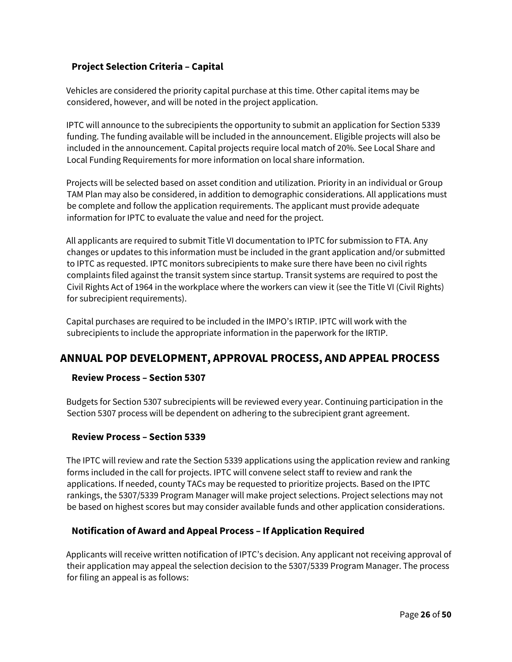# <span id="page-25-0"></span>**Project Selection Criteria – Capital**

Vehicles are considered the priority capital purchase at this time. Other capital items may be considered, however, and will be noted in the project application.

IPTC will announce to the subrecipients the opportunity to submit an application for Section 5339 funding. The funding available will be included in the announcement. Eligible projects will also be included in the announcement. Capital projects require local match of 20%. See Local Share and Local Funding Requirements for more information on local share information.

Projects will be selected based on asset condition and utilization. Priority in an individual or Group TAM Plan may also be considered, in addition to demographic considerations. All applications must be complete and follow the application requirements. The applicant must provide adequate information for IPTC to evaluate the value and need for the project.

All applicants are required to submit Title VI documentation to IPTC for submission to FTA. Any changes or updates to this information must be included in the grant application and/or submitted to IPTC as requested. IPTC monitors subrecipients to make sure there have been no civil rights complaints filed against the transit system since startup. Transit systems are required to post the Civil Rights Act of 1964 in the workplace where the workers can view it (see the Title VI (Civil Rights) for subrecipient requirements).

Capital purchases are required to be included in the IMPO's IRTIP. IPTC will work with the subrecipients to include the appropriate information in the paperwork for the IRTIP.

# <span id="page-25-2"></span><span id="page-25-1"></span>**ANNUAL POP DEVELOPMENT, APPROVAL PROCESS, AND APPEAL PROCESS**

### **Review Process – Section 5307**

Budgets for Section 5307 subrecipients will be reviewed every year. Continuing participation in the Section 5307 process will be dependent on adhering to the subrecipient grant agreement.

### <span id="page-25-3"></span>**Review Process – Section 5339**

The IPTC will review and rate the Section 5339 applications using the application review and ranking forms included in the call for projects. IPTC will convene select staff to review and rank the applications. If needed, county TACs may be requested to prioritize projects. Based on the IPTC rankings, the 5307/5339 Program Manager will make project selections. Project selections may not be based on highest scores but may consider available funds and other application considerations.

# <span id="page-25-4"></span>**Notification of Award and Appeal Process – If Application Required**

Applicants will receive written notification of IPTC's decision. Any applicant not receiving approval of their application may appeal the selection decision to the 5307/5339 Program Manager. The process for filing an appeal is as follows: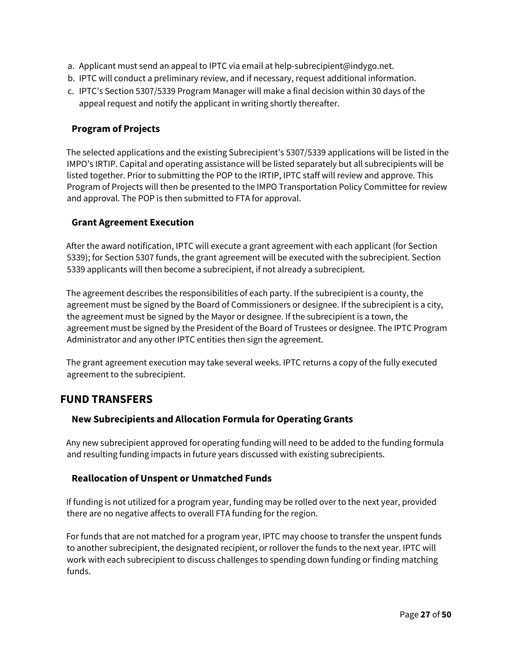- a. Applicant must send an appeal to IPTC via email at help-subrecipient@indygo.net.
- b. IPTC will conduct a preliminary review, and if necessary, request additional information.
- c. IPTC's Section 5307/5339 Program Manager will make a final decision within 30 days of the appeal request and notify the applicant in writing shortly thereafter.

# <span id="page-26-0"></span>**Program of Projects**

The selected applications and the existing Subrecipient's 5307/5339 applications will be listed in the IMPO's IRTIP. Capital and operating assistance will be listed separately but all subrecipients will be listed together. Prior to submitting the POP to the IRTIP, IPTC staff will review and approve. This Program of Projects will then be presented to the IMPO Transportation Policy Committee for review and approval. The POP is then submitted to FTA for approval.

# <span id="page-26-1"></span>**Grant Agreement Execution**

After the award notification, IPTC will execute a grant agreement with each applicant (for Section 5339); for Section 5307 funds, the grant agreement will be executed with the subrecipient. Section 5339 applicants will then become a subrecipient, if not already a subrecipient.

The agreement describes the responsibilities of each party. If the subrecipient is a county, the agreement must be signed by the Board of Commissioners or designee. If the subrecipient is a city, the agreement must be signed by the Mayor or designee. If the subrecipient is a town, the agreement must be signed by the President of the Board of Trustees or designee. The IPTC Program Administrator and any other IPTC entities then sign the agreement.

The grant agreement execution may take several weeks. IPTC returns a copy of the fully executed agreement to the subrecipient.

# <span id="page-26-3"></span><span id="page-26-2"></span>**FUND TRANSFERS**

# **New Subrecipients and Allocation Formula for Operating Grants**

Any new subrecipient approved for operating funding will need to be added to the funding formula and resulting funding impacts in future years discussed with existing subrecipients.

# <span id="page-26-4"></span>**Reallocation of Unspent or Unmatched Funds**

If funding is not utilized for a program year, funding may be rolled over to the next year, provided there are no negative affects to overall FTA funding for the region.

For funds that are not matched for a program year, IPTC may choose to transfer the unspent funds to another subrecipient, the designated recipient, or rollover the funds to the next year. IPTC will work with each subrecipient to discuss challenges to spending down funding or finding matching funds.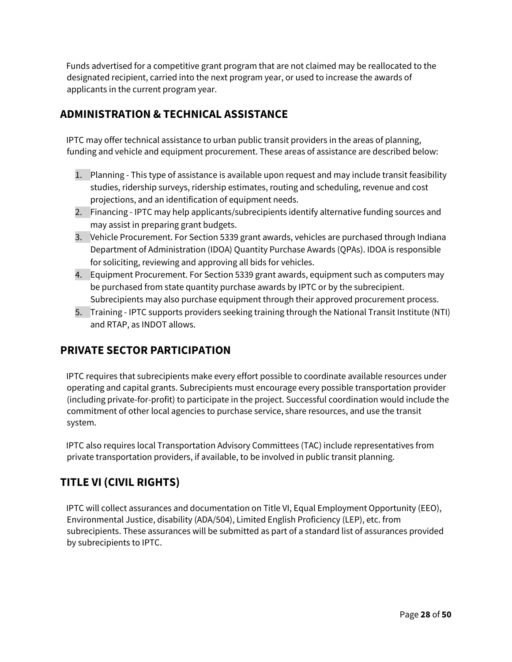Funds advertised for a competitive grant program that are not claimed may be reallocated to the designated recipient, carried into the next program year, or used to increase the awards of applicants in the current program year.

# <span id="page-27-0"></span>**ADMINISTRATION & TECHNICAL ASSISTANCE**

IPTC may offer technical assistance to urban public transit providers in the areas of planning, funding and vehicle and equipment procurement. These areas of assistance are described below:

- 1. Planning This type of assistance is available upon request and may include transit feasibility studies, ridership surveys, ridership estimates, routing and scheduling, revenue and cost projections, and an identification of equipment needs.
- 2. Financing IPTC may help applicants/subrecipients identify alternative funding sources and may assist in preparing grant budgets.
- 3. Vehicle Procurement. For Section 5339 grant awards, vehicles are purchased through Indiana Department of Administration (IDOA) Quantity Purchase Awards (QPAs). IDOA is responsible for soliciting, reviewing and approving all bids for vehicles.
- 4. Equipment Procurement. For Section 5339 grant awards, equipment such as computers may be purchased from state quantity purchase awards by IPTC or by the subrecipient. Subrecipients may also purchase equipment through their approved procurement process.
- 5. Training IPTC supports providers seeking training through the National Transit Institute (NTI) and RTAP, as INDOT allows.

# <span id="page-27-1"></span>**PRIVATE SECTOR PARTICIPATION**

IPTC requires that subrecipients make every effort possible to coordinate available resources under operating and capital grants. Subrecipients must encourage every possible transportation provider (including private-for-profit) to participate in the project. Successful coordination would include the commitment of other local agencies to purchase service, share resources, and use the transit system.

IPTC also requires local Transportation Advisory Committees (TAC) include representatives from private transportation providers, if available, to be involved in public transit planning.

# <span id="page-27-2"></span>**TITLE VI (CIVIL RIGHTS)**

IPTC will collect assurances and documentation on Title VI, Equal Employment Opportunity (EEO), Environmental Justice, disability (ADA/504), Limited English Proficiency (LEP), etc. from subrecipients. These assurances will be submitted as part of a standard list of assurances provided by subrecipients to IPTC.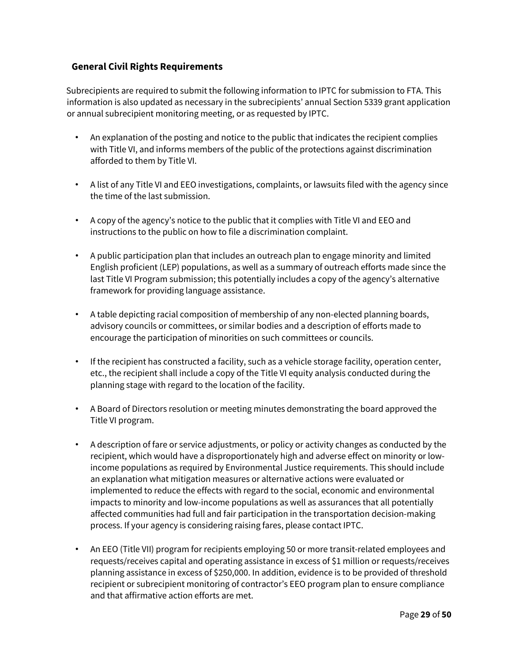# <span id="page-28-0"></span>**General Civil Rights Requirements**

Subrecipients are required to submit the following information to IPTC for submission to FTA. This information is also updated as necessary in the subrecipients' annual Section 5339 grant application or annual subrecipient monitoring meeting, or as requested by IPTC.

- An explanation of the posting and notice to the public that indicates the recipient complies with Title VI, and informs members of the public of the protections against discrimination afforded to them by Title VI.
- A list of any Title VI and EEO investigations, complaints, or lawsuits filed with the agency since the time of the last submission.
- A copy of the agency's notice to the public that it complies with Title VI and EEO and instructions to the public on how to file a discrimination complaint.
- A public participation plan that includes an outreach plan to engage minority and limited English proficient (LEP) populations, as well as a summary of outreach efforts made since the last Title VI Program submission; this potentially includes a copy of the agency's alternative framework for providing language assistance.
- A table depicting racial composition of membership of any non-elected planning boards, advisory councils or committees, or similar bodies and a description of efforts made to encourage the participation of minorities on such committees or councils.
- If the recipient has constructed a facility, such as a vehicle storage facility, operation center, etc., the recipient shall include a copy of the Title VI equity analysis conducted during the planning stage with regard to the location of the facility.
- A Board of Directors resolution or meeting minutes demonstrating the board approved the Title VI program.
- A description of fare or service adjustments, or policy or activity changes as conducted by the recipient, which would have a disproportionately high and adverse effect on minority or lowincome populations as required by Environmental Justice requirements. This should include an explanation what mitigation measures or alternative actions were evaluated or implemented to reduce the effects with regard to the social, economic and environmental impacts to minority and low-income populations as well as assurances that all potentially affected communities had full and fair participation in the transportation decision-making process. If your agency is considering raising fares, please contact IPTC.
- An EEO (Title VII) program for recipients employing 50 or more transit-related employees and requests/receives capital and operating assistance in excess of \$1 million or requests/receives planning assistance in excess of \$250,000. In addition, evidence is to be provided of threshold recipient or subrecipient monitoring of contractor's EEO program plan to ensure compliance and that affirmative action efforts are met.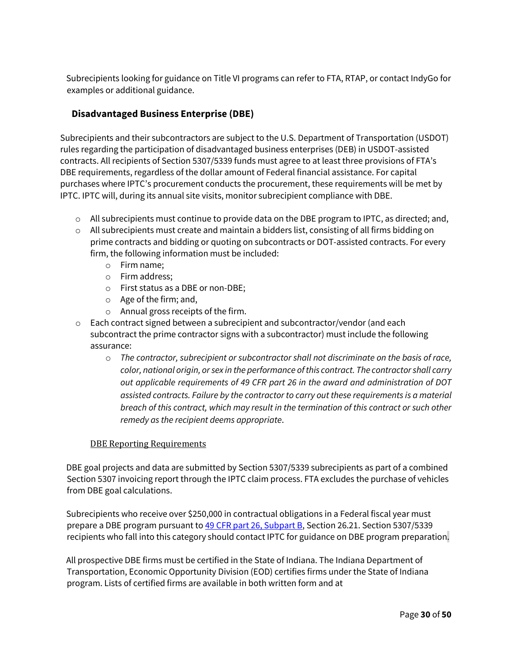Subrecipients looking for guidance on Title VI programs can refer to FTA, RTAP, or contact IndyGo for examples or additional guidance.

# <span id="page-29-0"></span>**Disadvantaged Business Enterprise (DBE)**

Subrecipients and their subcontractors are subject to the U.S. Department of Transportation (USDOT) rules regarding the participation of disadvantaged business enterprises (DEB) in USDOT-assisted contracts. All recipients of Section 5307/5339 funds must agree to at least three provisions of FTA's DBE requirements, regardless of the dollar amount of Federal financial assistance. For capital purchases where IPTC's procurement conducts the procurement, these requirements will be met by IPTC. IPTC will, during its annual site visits, monitor subrecipient compliance with DBE.

- $\circ$  All subrecipients must continue to provide data on the DBE program to IPTC, as directed; and,
- $\circ$  All subrecipients must create and maintain a bidders list, consisting of all firms bidding on prime contracts and bidding or quoting on subcontracts or DOT-assisted contracts. For every firm, the following information must be included:
	- o Firm name;
	- o Firm address;
	- o First status as a DBE or non-DBE;
	- o Age of the firm; and,
	- o Annual gross receipts of the firm.
- $\circ$  Each contract signed between a subrecipient and subcontractor/vendor (and each subcontract the prime contractor signs with a subcontractor) must include the following assurance:
	- o *The contractor, subrecipient or subcontractor shall not discriminate on the basis of race, color, national origin, or sex in the performance of this contract. The contractor shall carry out applicable requirements of 49 CFR part 26 in the award and administration of DOT assisted contracts. Failure by the contractor to carry out these requirements is a material breach of this contract, which may result in the termination of this contract or such other remedy as the recipient deems appropriate*.

### **DBE Reporting Requirements**

<span id="page-29-1"></span>DBE goal projects and data are submitted by Section 5307/5339 subrecipients as part of a combined Section 5307 invoicing report through the IPTC claim process. FTA excludes the purchase of vehicles from DBE goal calculations.

Subrecipients who receive over \$250,000 in contractual obligations in a Federal fiscal year must prepare a DBE program pursuant to 49 CFR part 26, Subpart B, Section 26.21. Section 5307/5339 recipients who fall into this category should contact IPTC for guidance on DBE program preparation.

All prospective DBE firms must be certified in the State of Indiana. The Indiana Department of Transportation, Economic Opportunity Division (EOD) certifies firms under the State of Indiana program. Lists of certified firms are available in both written form and at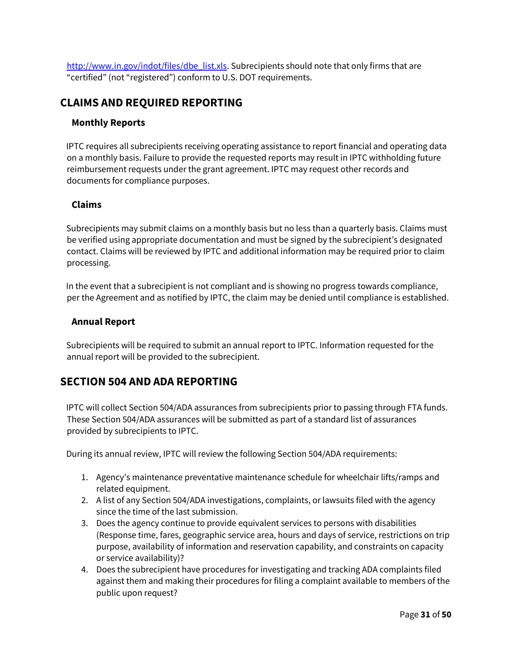[http://www.in.gov/indot/files/dbe\\_list.xls.](http://www.in.gov/indot/files/dbe_list.xls) Subrecipients should note that only firms that are "certified" (not "registered") conform to U.S. DOT requirements.

# <span id="page-30-0"></span>**CLAIMS AND REQUIRED REPORTING**

### <span id="page-30-1"></span>**Monthly Reports**

IPTC requires all subrecipients receiving operating assistance to report financial and operating data on a monthly basis. Failure to provide the requested reports may result in IPTC withholding future reimbursement requests under the grant agreement. IPTC may request other records and documents for compliance purposes.

### <span id="page-30-2"></span>**Claims**

Subrecipients may submit claims on a monthly basis but no less than a quarterly basis. Claims must be verified using appropriate documentation and must be signed by the subrecipient's designated contact. Claims will be reviewed by IPTC and additional information may be required prior to claim processing.

In the event that a subrecipient is not compliant and is showing no progress towards compliance, per the Agreement and as notified by IPTC, the claim may be denied until compliance is established.

#### <span id="page-30-3"></span>**Annual Report**

Subrecipients will be required to submit an annual report to IPTC. Information requested for the annual report will be provided to the subrecipient.

# <span id="page-30-4"></span>**SECTION 504 AND ADA REPORTING**

IPTC will collect Section 504/ADA assurances from subrecipients prior to passing through FTA funds. These Section 504/ADA assurances will be submitted as part of a standard list of assurances provided by subrecipients to IPTC.

During its annual review, IPTC will review the following Section 504/ADA requirements:

- 1. Agency's maintenance preventative maintenance schedule for wheelchair lifts/ramps and related equipment.
- 2. A list of any Section 504/ADA investigations, complaints, or lawsuits filed with the agency since the time of the last submission.
- 3. Does the agency continue to provide equivalent services to persons with disabilities (Response time, fares, geographic service area, hours and days of service, restrictions on trip purpose, availability of information and reservation capability, and constraints on capacity or service availability)?
- 4. Does the subrecipient have procedures for investigating and tracking ADA complaints filed against them and making their procedures for filing a complaint available to members of the public upon request?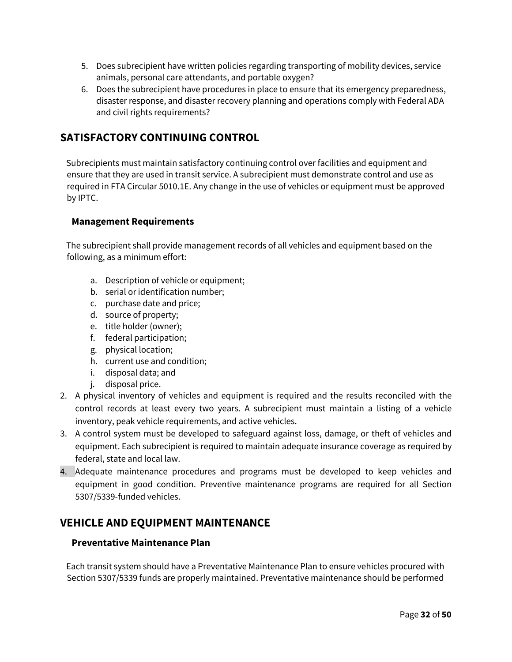- 5. Does subrecipient have written policies regarding transporting of mobility devices, service animals, personal care attendants, and portable oxygen?
- 6. Does the subrecipient have procedures in place to ensure that its emergency preparedness, disaster response, and disaster recovery planning and operations comply with Federal ADA and civil rights requirements?

# <span id="page-31-0"></span>**SATISFACTORY CONTINUING CONTROL**

Subrecipients must maintain satisfactory continuing control over facilities and equipment and ensure that they are used in transit service. A subrecipient must demonstrate control and use as required in FTA Circular 5010.1E. Any change in the use of vehicles or equipment must be approved by IPTC.

### <span id="page-31-1"></span>**Management Requirements**

The subrecipient shall provide management records of all vehicles and equipment based on the following, as a minimum effort:

- a. Description of vehicle or equipment;
- b. serial or identification number;
- c. purchase date and price;
- d. source of property;
- e. title holder (owner);
- f. federal participation;
- g. physical location;
- h. current use and condition;
- i. disposal data; and
- j. disposal price.
- 2. A physical inventory of vehicles and equipment is required and the results reconciled with the control records at least every two years. A subrecipient must maintain a listing of a vehicle inventory, peak vehicle requirements, and active vehicles.
- 3. A control system must be developed to safeguard against loss, damage, or theft of vehicles and equipment. Each subrecipient is required to maintain adequate insurance coverage as required by federal, state and local law.
- 4. Adequate maintenance procedures and programs must be developed to keep vehicles and equipment in good condition. Preventive maintenance programs are required for all Section 5307/5339-funded vehicles.

# <span id="page-31-3"></span><span id="page-31-2"></span>**VEHICLE AND EQUIPMENT MAINTENANCE**

### **Preventative Maintenance Plan**

Each transit system should have a Preventative Maintenance Plan to ensure vehicles procured with Section 5307/5339 funds are properly maintained. Preventative maintenance should be performed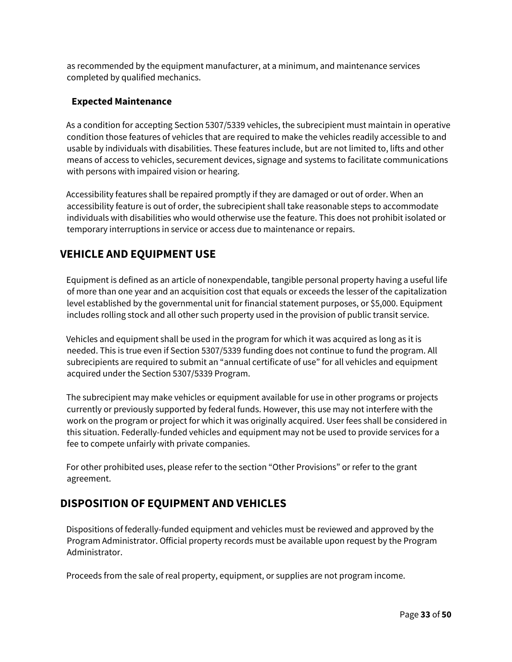as recommended by the equipment manufacturer, at a minimum, and maintenance services completed by qualified mechanics.

### <span id="page-32-0"></span>**Expected Maintenance**

As a condition for accepting Section 5307/5339 vehicles, the subrecipient must maintain in operative condition those features of vehicles that are required to make the vehicles readily accessible to and usable by individuals with disabilities. These features include, but are not limited to, lifts and other means of access to vehicles, securement devices, signage and systems to facilitate communications with persons with impaired vision or hearing.

Accessibility features shall be repaired promptly if they are damaged or out of order. When an accessibility feature is out of order, the subrecipient shall take reasonable steps to accommodate individuals with disabilities who would otherwise use the feature. This does not prohibit isolated or temporary interruptions in service or access due to maintenance or repairs.

# <span id="page-32-1"></span>**VEHICLE AND EQUIPMENT USE**

Equipment is defined as an article of nonexpendable, tangible personal property having a useful life of more than one year and an acquisition cost that equals or exceeds the lesser of the capitalization level established by the governmental unit for financial statement purposes, or \$5,000. Equipment includes rolling stock and all other such property used in the provision of public transit service.

Vehicles and equipment shall be used in the program for which it was acquired as long as it is needed. This is true even if Section 5307/5339 funding does not continue to fund the program. All subrecipients are required to submit an "annual certificate of use" for all vehicles and equipment acquired under the Section 5307/5339 Program.

The subrecipient may make vehicles or equipment available for use in other programs or projects currently or previously supported by federal funds. However, this use may not interfere with the work on the program or project for which it was originally acquired. User fees shall be considered in this situation. Federally-funded vehicles and equipment may not be used to provide services for a fee to compete unfairly with private companies.

For other prohibited uses, please refer to the section "Other Provisions" or refer to the grant agreement.

# <span id="page-32-2"></span>**DISPOSITION OF EQUIPMENT AND VEHICLES**

Dispositions of federally-funded equipment and vehicles must be reviewed and approved by the Program Administrator. Official property records must be available upon request by the Program Administrator.

Proceeds from the sale of real property, equipment, or supplies are not program income.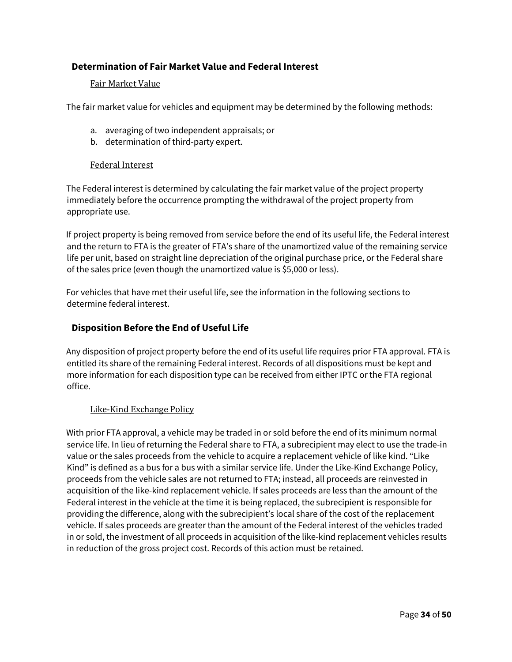# <span id="page-33-1"></span><span id="page-33-0"></span>**Determination of Fair Market Value and Federal Interest**

### Fair Market Value

The fair market value for vehicles and equipment may be determined by the following methods:

- a. averaging of two independent appraisals; or
- b. determination of third-party expert.

#### Federal Interest

<span id="page-33-2"></span>The Federal interest is determined by calculating the fair market value of the project property immediately before the occurrence prompting the withdrawal of the project property from appropriate use.

If project property is being removed from service before the end of its useful life, the Federal interest and the return to FTA is the greater of FTA's share of the unamortized value of the remaining service life per unit, based on straight line depreciation of the original purchase price, or the Federal share of the sales price (even though the unamortized value is \$5,000 or less).

For vehicles that have met their useful life, see the information in the following sections to determine federal interest.

# <span id="page-33-3"></span>**Disposition Before the End of Useful Life**

Any disposition of project property before the end of its useful life requires prior FTA approval. FTA is entitled its share of the remaining Federal interest. Records of all dispositions must be kept and more information for each disposition type can be received from either IPTC or the FTA regional office.

### Like-Kind Exchange Policy

<span id="page-33-4"></span>With prior FTA approval, a vehicle may be traded in or sold before the end of its minimum normal service life. In lieu of returning the Federal share to FTA, a subrecipient may elect to use the trade-in value or the sales proceeds from the vehicle to acquire a replacement vehicle of like kind. "Like Kind" is defined as a bus for a bus with a similar service life. Under the Like-Kind Exchange Policy, proceeds from the vehicle sales are not returned to FTA; instead, all proceeds are reinvested in acquisition of the like-kind replacement vehicle. If sales proceeds are less than the amount of the Federal interest in the vehicle at the time it is being replaced, the subrecipient is responsible for providing the difference, along with the subrecipient's local share of the cost of the replacement vehicle. If sales proceeds are greater than the amount of the Federal interest of the vehicles traded in or sold, the investment of all proceeds in acquisition of the like-kind replacement vehicles results in reduction of the gross project cost. Records of this action must be retained.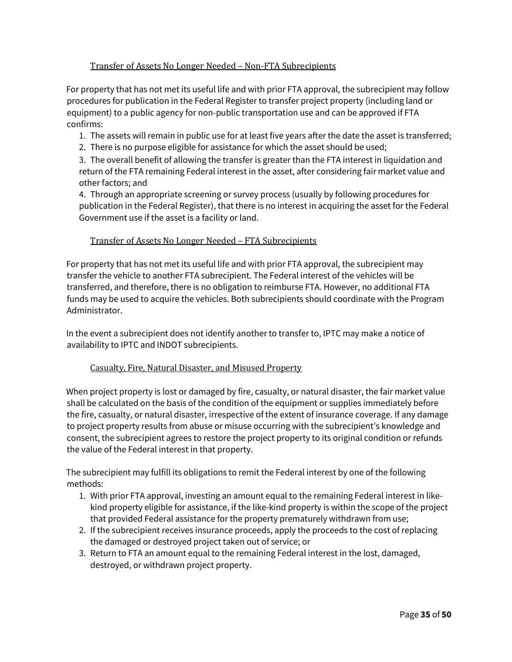### Transfer of Assets No Longer Needed – Non-FTA Subrecipients

<span id="page-34-0"></span>For property that has not met its useful life and with prior FTA approval, the subrecipient may follow procedures for publication in the Federal Register to transfer project property (including land or equipment) to a public agency for non-public transportation use and can be approved if FTA confirms:

- 1. The assets will remain in public use for at least five years after the date the asset is transferred;
- 2. There is no purpose eligible for assistance for which the asset should be used;

3. The overall benefit of allowing the transfer is greater than the FTA interest in liquidation and return of the FTA remaining Federal interest in the asset, after considering fair market value and other factors; and

4. Through an appropriate screening or survey process (usually by following procedures for publication in the Federal Register), that there is no interest in acquiring the asset for the Federal Government use if the asset is a facility or land.

#### Transfer of Assets No Longer Needed – FTA Subrecipients

<span id="page-34-1"></span>For property that has not met its useful life and with prior FTA approval, the subrecipient may transfer the vehicle to another FTA subrecipient. The Federal interest of the vehicles will be transferred, and therefore, there is no obligation to reimburse FTA. However, no additional FTA funds may be used to acquire the vehicles. Both subrecipients should coordinate with the Program Administrator.

In the event a subrecipient does not identify another to transfer to, IPTC may make a notice of availability to IPTC and INDOT subrecipients.

#### Casualty, Fire, Natural Disaster, and Misused Property

<span id="page-34-2"></span>When project property is lost or damaged by fire, casualty, or natural disaster, the fair market value shall be calculated on the basis of the condition of the equipment or supplies immediately before the fire, casualty, or natural disaster, irrespective of the extent of insurance coverage. If any damage to project property results from abuse or misuse occurring with the subrecipient's knowledge and consent, the subrecipient agrees to restore the project property to its original condition or refunds the value of the Federal interest in that property.

The subrecipient may fulfill its obligations to remit the Federal interest by one of the following methods:

- 1. With prior FTA approval, investing an amount equal to the remaining Federal interest in likekind property eligible for assistance, if the like-kind property is within the scope of the project that provided Federal assistance for the property prematurely withdrawn from use;
- 2. If the subrecipient receives insurance proceeds, apply the proceeds to the cost of replacing the damaged or destroyed project taken out of service; or
- 3. Return to FTA an amount equal to the remaining Federal interest in the lost, damaged, destroyed, or withdrawn project property.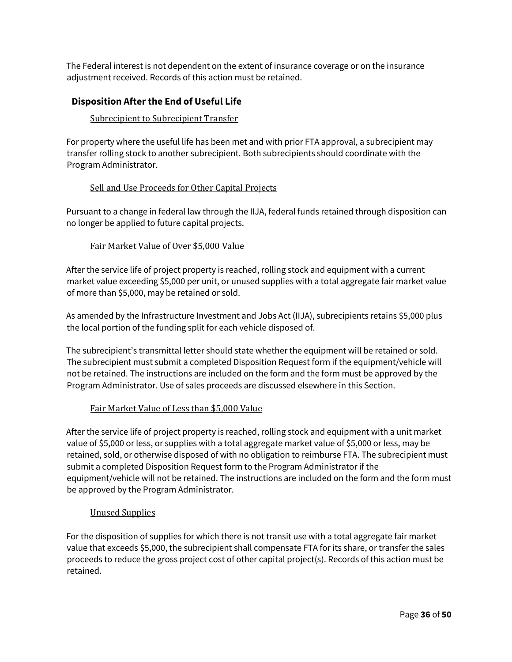The Federal interest is not dependent on the extent of insurance coverage or on the insurance adjustment received. Records of this action must be retained.

# <span id="page-35-1"></span><span id="page-35-0"></span>**Disposition After the End of Useful Life**

### Subrecipient to Subrecipient Transfer

For property where the useful life has been met and with prior FTA approval, a subrecipient may transfer rolling stock to another subrecipient. Both subrecipients should coordinate with the Program Administrator.

### Sell and Use Proceeds for Other Capital Projects

<span id="page-35-2"></span>Pursuant to a change in federal law through the IIJA, federal funds retained through disposition can no longer be applied to future capital projects.

### Fair Market Value of Over \$5,000 Value

After the service life of project property is reached, rolling stock and equipment with a current market value exceeding \$5,000 per unit, or unused supplies with a total aggregate fair market value of more than \$5,000, may be retained or sold.

As amended by the Infrastructure Investment and Jobs Act (IIJA), subrecipients retains \$5,000 plus the local portion of the funding split for each vehicle disposed of.

The subrecipient's transmittal letter should state whether the equipment will be retained or sold. The subrecipient must submit a completed Disposition Request form if the equipment/vehicle will not be retained. The instructions are included on the form and the form must be approved by the Program Administrator. Use of sales proceeds are discussed elsewhere in this Section.

### Fair Market Value of Less than \$5,000 Value

After the service life of project property is reached, rolling stock and equipment with a unit market value of \$5,000 or less, or supplies with a total aggregate market value of \$5,000 or less, may be retained, sold, or otherwise disposed of with no obligation to reimburse FTA. The subrecipient must submit a completed Disposition Request form to the Program Administrator if the equipment/vehicle will not be retained. The instructions are included on the form and the form must be approved by the Program Administrator.

### Unused Supplies

<span id="page-35-3"></span>For the disposition of supplies for which there is not transit use with a total aggregate fair market value that exceeds \$5,000, the subrecipient shall compensate FTA for its share, or transfer the sales proceeds to reduce the gross project cost of other capital project(s). Records of this action must be retained.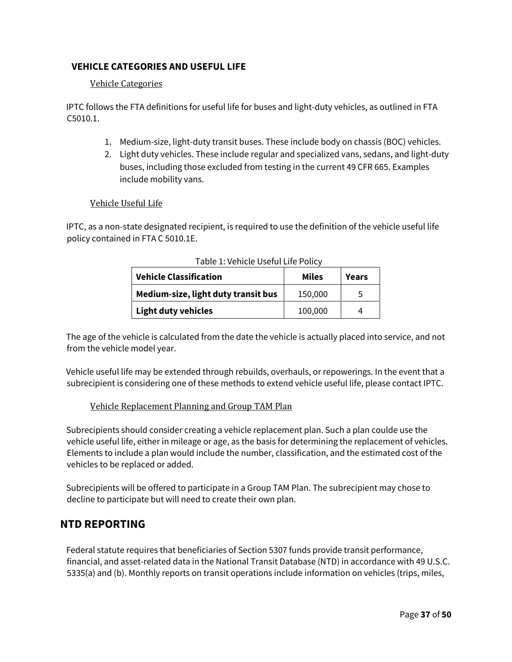# <span id="page-36-1"></span><span id="page-36-0"></span>**VEHICLE CATEGORIES AND USEFUL LIFE**

### Vehicle Categories

IPTC follows the FTA definitions for useful life for buses and light-duty vehicles, as outlined in FTA C5010.1.

- 1. Medium-size, light-duty transit buses. These include body on chassis (BOC) vehicles.
- 2. Light duty vehicles. These include regular and specialized vans, sedans, and light-duty buses, including those excluded from testing in the current 49 CFR 665. Examples include mobility vans.

### Vehicle Useful Life

<span id="page-36-2"></span>IPTC, as a non-state designated recipient, is required to use the definition of the vehicle useful life policy contained in FTA C 5010.1E.

| Table 1. Vernete Obergt Life Folley |         |              |  |  |
|-------------------------------------|---------|--------------|--|--|
| <b>Vehicle Classification</b>       | Miles   | <b>Years</b> |  |  |
| Medium-size, light duty transit bus | 150,000 | 5            |  |  |
| <b>Light duty vehicles</b>          | 100,000 | 4            |  |  |

| Table 1: Vehicle Useful Life Policy |
|-------------------------------------|
|-------------------------------------|

The age of the vehicle is calculated from the date the vehicle is actually placed into service, and not from the vehicle model year.

Vehicle useful life may be extended through rebuilds, overhauls, or repowerings. In the event that a subrecipient is considering one of these methods to extend vehicle useful life, please contact IPTC.

### Vehicle Replacement Planning and Group TAM Plan

<span id="page-36-3"></span>Subrecipients should consider creating a vehicle replacement plan. Such a plan coulde use the vehicle useful life, either in mileage or age, as the basis for determining the replacement of vehicles. Elements to include a plan would include the number, classification, and the estimated cost of the vehicles to be replaced or added.

Subrecipients will be offered to participate in a Group TAM Plan. The subrecipient may chose to decline to participate but will need to create their own plan.

# <span id="page-36-4"></span>**NTD REPORTING**

Federal statute requires that beneficiaries of Section 5307 funds provide transit performance, financial, and asset-related data in the National Transit Database (NTD) in accordance with 49 U.S.C. 5335(a) and (b). Monthly reports on transit operations include information on vehicles (trips, miles,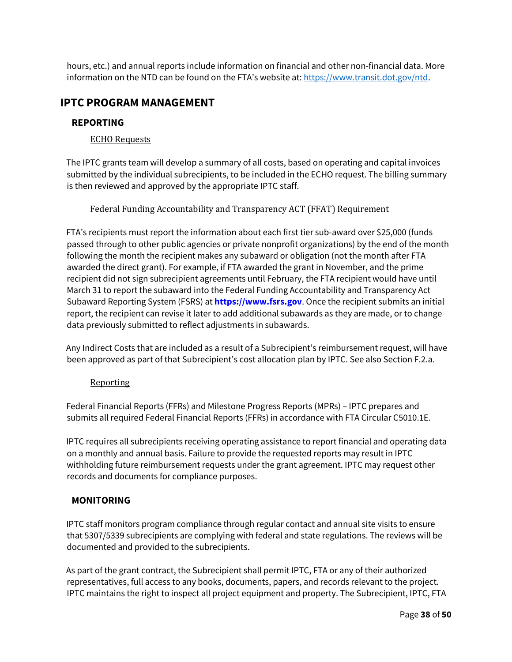hours, etc.) and annual reports include information on financial and other non-financial data. More information on the NTD can be found on the FTA's website at[: https://www.transit.dot.gov/ntd.](https://www.transit.dot.gov/ntd)

# <span id="page-37-1"></span><span id="page-37-0"></span>**IPTC PROGRAM MANAGEMENT**

### <span id="page-37-2"></span>**REPORTING**

#### ECHO Requests

The IPTC grants team will develop a summary of all costs, based on operating and capital invoices submitted by the individual subrecipients, to be included in the ECHO request. The billing summary is then reviewed and approved by the appropriate IPTC staff.

#### Federal Funding Accountability and Transparency ACT (FFAT) Requirement

<span id="page-37-3"></span>FTA's recipients must report the information about each first tier sub-award over \$25,000 (funds passed through to other public agencies or private nonprofit organizations) by the end of the month following the month the recipient makes any subaward or obligation (not the month after FTA awarded the direct grant). For example, if FTA awarded the grant in November, and the prime recipient did not sign subrecipient agreements until February, the FTA recipient would have until March 31 to report the subaward into the Federal Funding Accountability and Transparency Act Subaward Reporting System (FSRS) at **[https://www.fsrs.gov](https://www.fsrs.gov/)**[. O](https://www.fsrs.gov/)nce the recipient submits an initial report, the recipient can revise it later to add additional subawards as they are made, or to change data previously submitted to reflect adjustments in subawards.

Any Indirect Costs that are included as a result of a Subrecipient's reimbursement request, will have been approved as part of that Subrecipient's cost allocation plan by IPTC. See also Section F.2.a.

#### Reporting

<span id="page-37-4"></span>Federal Financial Reports (FFRs) and Milestone Progress Reports (MPRs) – IPTC prepares and submits all required Federal Financial Reports (FFRs) in accordance with FTA Circular C5010.1E.

IPTC requires all subrecipients receiving operating assistance to report financial and operating data on a monthly and annual basis. Failure to provide the requested reports may result in IPTC withholding future reimbursement requests under the grant agreement. IPTC may request other records and documents for compliance purposes.

### <span id="page-37-5"></span>**MONITORING**

IPTC staff monitors program compliance through regular contact and annual site visits to ensure that 5307/5339 subrecipients are complying with federal and state regulations. The reviews will be documented and provided to the subrecipients.

As part of the grant contract, the Subrecipient shall permit IPTC, FTA or any of their authorized representatives, full access to any books, documents, papers, and records relevant to the project. IPTC maintains the right to inspect all project equipment and property. The Subrecipient, IPTC, FTA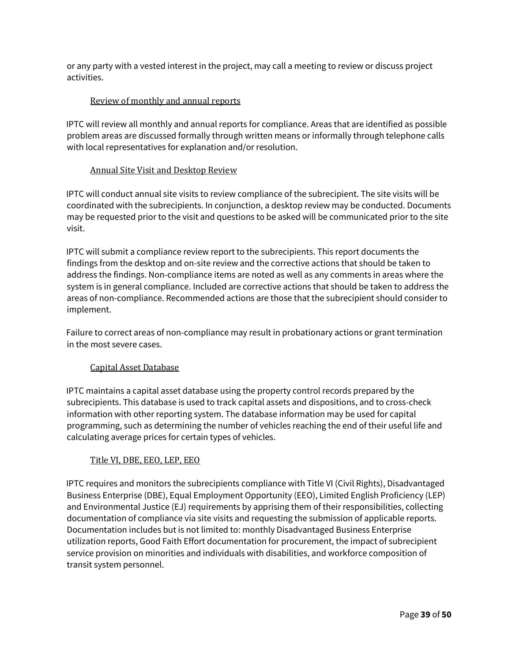or any party with a vested interest in the project, may call a meeting to review or discuss project activities.

### Review of monthly and annual reports

<span id="page-38-0"></span>IPTC will review all monthly and annual reports for compliance. Areas that are identified as possible problem areas are discussed formally through written means or informally through telephone calls with local representatives for explanation and/or resolution.

### Annual Site Visit and Desktop Review

<span id="page-38-1"></span>IPTC will conduct annual site visits to review compliance of the subrecipient. The site visits will be coordinated with the subrecipients. In conjunction, a desktop review may be conducted. Documents may be requested prior to the visit and questions to be asked will be communicated prior to the site visit.

IPTC will submit a compliance review report to the subrecipients. This report documents the findings from the desktop and on-site review and the corrective actions that should be taken to address the findings. Non-compliance items are noted as well as any comments in areas where the system is in general compliance. Included are corrective actions that should be taken to address the areas of non-compliance. Recommended actions are those that the subrecipient should consider to implement.

Failure to correct areas of non-compliance may result in probationary actions or grant termination in the most severe cases.

### Capital Asset Database

<span id="page-38-2"></span>IPTC maintains a capital asset database using the property control records prepared by the subrecipients. This database is used to track capital assets and dispositions, and to cross-check information with other reporting system. The database information may be used for capital programming, such as determining the number of vehicles reaching the end of their useful life and calculating average prices for certain types of vehicles.

### Title VI, DBE, EEO, LEP, EEO

<span id="page-38-3"></span>IPTC requires and monitors the subrecipients compliance with Title VI (Civil Rights), Disadvantaged Business Enterprise (DBE), Equal Employment Opportunity (EEO), Limited English Proficiency (LEP) and Environmental Justice (EJ) requirements by apprising them of their responsibilities, collecting documentation of compliance via site visits and requesting the submission of applicable reports. Documentation includes but is not limited to: monthly Disadvantaged Business Enterprise utilization reports, Good Faith Effort documentation for procurement, the impact of subrecipient service provision on minorities and individuals with disabilities, and workforce composition of transit system personnel.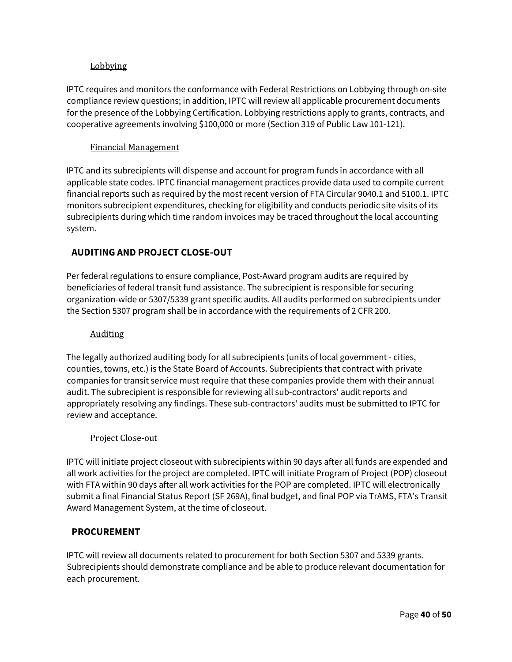### Lobbying

<span id="page-39-0"></span>IPTC requires and monitors the conformance with Federal Restrictions on Lobbying through on-site compliance review questions; in addition, IPTC will review all applicable procurement documents for the presence of the Lobbying Certification. Lobbying restrictions apply to grants, contracts, and cooperative agreements involving \$100,000 or more (Section 319 of Public Law 101-121).

### Financial Management

<span id="page-39-1"></span>IPTC and its subrecipients will dispense and account for program funds in accordance with all applicable state codes. IPTC financial management practices provide data used to compile current financial reports such as required by the most recent version of FTA Circular 9040.1 and 5100.1. IPTC monitors subrecipient expenditures, checking for eligibility and conducts periodic site visits of its subrecipients during which time random invoices may be traced throughout the local accounting system.

### <span id="page-39-2"></span>**AUDITING AND PROJECT CLOSE-OUT**

Per federal regulations to ensure compliance, Post-Award program audits are required by beneficiaries of federal transit fund assistance. The subrecipient is responsible for securing organization-wide or 5307/5339 grant specific audits. All audits performed on subrecipients under the Section 5307 program shall be in accordance with the requirements of 2 CFR 200.

#### Auditing

<span id="page-39-3"></span>The legally authorized auditing body for all subrecipients (units of local government - cities, counties, towns, etc.) is the State Board of Accounts. Subrecipients that contract with private companies for transit service must require that these companies provide them with their annual audit. The subrecipient is responsible for reviewing all sub-contractors' audit reports and appropriately resolving any findings. These sub-contractors' audits must be submitted to IPTC for review and acceptance.

#### Project Close-out

<span id="page-39-4"></span>IPTC will initiate project closeout with subrecipients within 90 days after all funds are expended and all work activities for the project are completed. IPTC will initiate Program of Project (POP) closeout with FTA within 90 days after all work activities for the POP are completed. IPTC will electronically submit a final Financial Status Report (SF 269A), final budget, and final POP via TrAMS, FTA's Transit Award Management System, at the time of closeout.

### <span id="page-39-5"></span>**PROCUREMENT**

IPTC will review all documents related to procurement for both Section 5307 and 5339 grants. Subrecipients should demonstrate compliance and be able to produce relevant documentation for each procurement.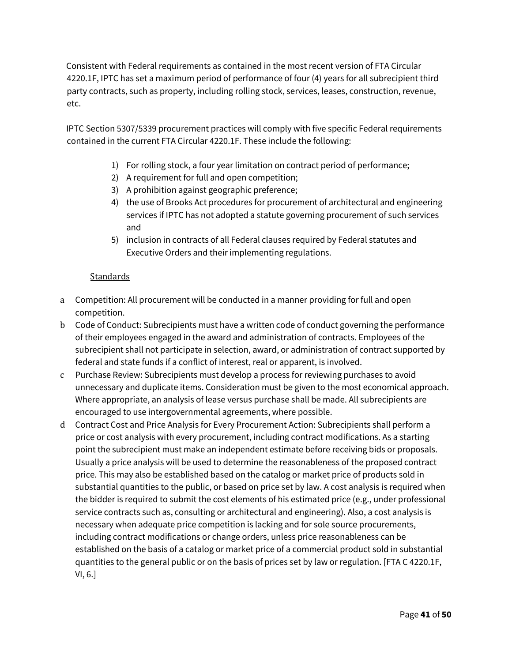Consistent with Federal requirements as contained in the most recent version of FTA Circular 4220.1F, IPTC has set a maximum period of performance of four (4) years for all subrecipient third party contracts, such as property, including rolling stock, services, leases, construction, revenue, etc.

IPTC Section 5307/5339 procurement practices will comply with five specific Federal requirements contained in the current FTA Circular 4220.1F. These include the following:

- 1) For rolling stock, a four year limitation on contract period of performance;
- 2) A requirement for full and open competition;
- 3) A prohibition against geographic preference;
- 4) the use of Brooks Act procedures for procurement of architectural and engineering services if IPTC has not adopted a statute governing procurement of such services and
- 5) inclusion in contracts of all Federal clauses required by Federal statutes and Executive Orders and their implementing regulations.

### **Standards**

- <span id="page-40-0"></span>a Competition: All procurement will be conducted in a manner providing for full and open competition.
- b Code of Conduct: Subrecipients must have a written code of conduct governing the performance of their employees engaged in the award and administration of contracts. Employees of the subrecipient shall not participate in selection, award, or administration of contract supported by federal and state funds if a conflict of interest, real or apparent, is involved.
- c Purchase Review: Subrecipients must develop a process for reviewing purchases to avoid unnecessary and duplicate items. Consideration must be given to the most economical approach. Where appropriate, an analysis of lease versus purchase shall be made. All subrecipients are encouraged to use intergovernmental agreements, where possible.
- d Contract Cost and Price Analysis for Every Procurement Action: Subrecipients shall perform a price or cost analysis with every procurement, including contract modifications. As a starting point the subrecipient must make an independent estimate before receiving bids or proposals. Usually a price analysis will be used to determine the reasonableness of the proposed contract price. This may also be established based on the catalog or market price of products sold in substantial quantities to the public, or based on price set by law. A cost analysis is required when the bidder is required to submit the cost elements of his estimated price (e.g., under professional service contracts such as, consulting or architectural and engineering). Also, a cost analysis is necessary when adequate price competition is lacking and for sole source procurements, including contract modifications or change orders, unless price reasonableness can be established on the basis of a catalog or market price of a commercial product sold in substantial quantities to the general public or on the basis of prices set by law or regulation. [FTA C 4220.1F, VI, 6.]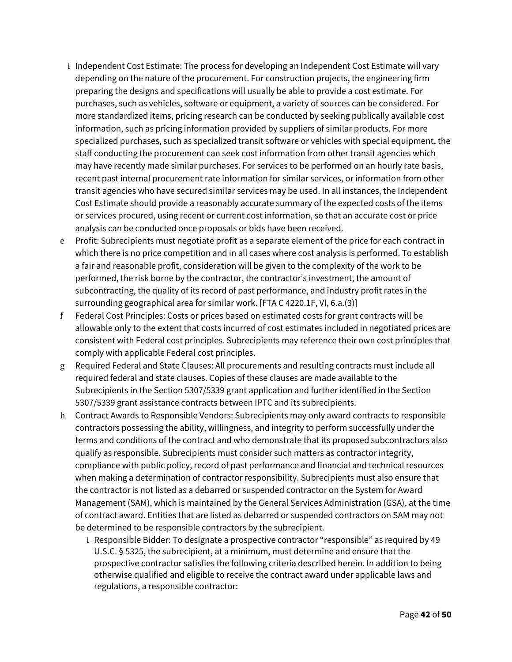- i Independent Cost Estimate: The process for developing an Independent Cost Estimate will vary depending on the nature of the procurement. For construction projects, the engineering firm preparing the designs and specifications will usually be able to provide a cost estimate. For purchases, such as vehicles, software or equipment, a variety of sources can be considered. For more standardized items, pricing research can be conducted by seeking publically available cost information, such as pricing information provided by suppliers of similar products. For more specialized purchases, such as specialized transit software or vehicles with special equipment, the staff conducting the procurement can seek cost information from other transit agencies which may have recently made similar purchases. For services to be performed on an hourly rate basis, recent past internal procurement rate information for similar services, or information from other transit agencies who have secured similar services may be used. In all instances, the Independent Cost Estimate should provide a reasonably accurate summary of the expected costs of the items or services procured, using recent or current cost information, so that an accurate cost or price analysis can be conducted once proposals or bids have been received.
- e Profit: Subrecipients must negotiate profit as a separate element of the price for each contract in which there is no price competition and in all cases where cost analysis is performed. To establish a fair and reasonable profit, consideration will be given to the complexity of the work to be performed, the risk borne by the contractor, the contractor's investment, the amount of subcontracting, the quality of its record of past performance, and industry profit rates in the surrounding geographical area for similar work. [FTA C 4220.1F, VI, 6.a.(3)]
- f Federal Cost Principles: Costs or prices based on estimated costs for grant contracts will be allowable only to the extent that costs incurred of cost estimates included in negotiated prices are consistent with Federal cost principles. Subrecipients may reference their own cost principles that comply with applicable Federal cost principles.
- g Required Federal and State Clauses: All procurements and resulting contracts must include all required federal and state clauses. Copies of these clauses are made available to the Subrecipients in the Section 5307/5339 grant application and further identified in the Section 5307/5339 grant assistance contracts between IPTC and its subrecipients.
- h Contract Awards to Responsible Vendors: Subrecipients may only award contracts to responsible contractors possessing the ability, willingness, and integrity to perform successfully under the terms and conditions of the contract and who demonstrate that its proposed subcontractors also qualify as responsible. Subrecipients must consider such matters as contractor integrity, compliance with public policy, record of past performance and financial and technical resources when making a determination of contractor responsibility. Subrecipients must also ensure that the contractor is not listed as a debarred or suspended contractor on the System for Award Management (SAM), which is maintained by the General Services Administration (GSA), at the time of contract award. Entities that are listed as debarred or suspended contractors on SAM may not be determined to be responsible contractors by the subrecipient.
	- i Responsible Bidder: To designate a prospective contractor "responsible" as required by 49 U.S.C. § 5325, the subrecipient, at a minimum, must determine and ensure that the prospective contractor satisfies the following criteria described herein. In addition to being otherwise qualified and eligible to receive the contract award under applicable laws and regulations, a responsible contractor: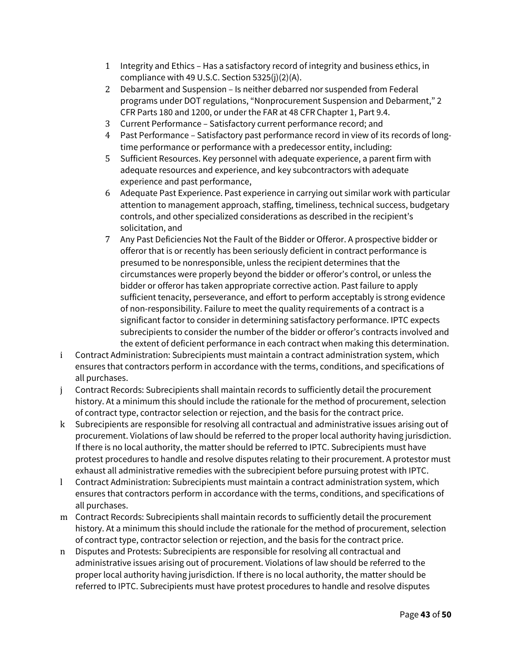- 1 Integrity and Ethics Has a satisfactory record of integrity and business ethics, in compliance with 49 U.S.C. Section 5325(j)(2)(A).
- 2 Debarment and Suspension Is neither debarred nor suspended from Federal programs under DOT regulations, "Nonprocurement Suspension and Debarment," 2 CFR Parts 180 and 1200, or under the FAR at 48 CFR Chapter 1, Part 9.4.
- 3 Current Performance Satisfactory current performance record; and
- 4 Past Performance Satisfactory past performance record in view of its records of longtime performance or performance with a predecessor entity, including:
- 5 Sufficient Resources. Key personnel with adequate experience, a parent firm with adequate resources and experience, and key subcontractors with adequate experience and past performance,
- 6 Adequate Past Experience. Past experience in carrying out similar work with particular attention to management approach, staffing, timeliness, technical success, budgetary controls, and other specialized considerations as described in the recipient's solicitation, and
- 7 Any Past Deficiencies Not the Fault of the Bidder or Offeror. A prospective bidder or offeror that is or recently has been seriously deficient in contract performance is presumed to be nonresponsible, unless the recipient determines that the circumstances were properly beyond the bidder or offeror's control, or unless the bidder or offeror has taken appropriate corrective action. Past failure to apply sufficient tenacity, perseverance, and effort to perform acceptably is strong evidence of non-responsibility. Failure to meet the quality requirements of a contract is a significant factor to consider in determining satisfactory performance. IPTC expects subrecipients to consider the number of the bidder or offeror's contracts involved and the extent of deficient performance in each contract when making this determination.
- i Contract Administration: Subrecipients must maintain a contract administration system, which ensures that contractors perform in accordance with the terms, conditions, and specifications of all purchases.
- j Contract Records: Subrecipients shall maintain records to sufficiently detail the procurement history. At a minimum this should include the rationale for the method of procurement, selection of contract type, contractor selection or rejection, and the basis for the contract price.
- k Subrecipients are responsible for resolving all contractual and administrative issues arising out of procurement. Violations of law should be referred to the proper local authority having jurisdiction. If there is no local authority, the matter should be referred to IPTC. Subrecipients must have protest procedures to handle and resolve disputes relating to their procurement. A protestor must exhaust all administrative remedies with the subrecipient before pursuing protest with IPTC.
- l Contract Administration: Subrecipients must maintain a contract administration system, which ensures that contractors perform in accordance with the terms, conditions, and specifications of all purchases.
- m Contract Records: Subrecipients shall maintain records to sufficiently detail the procurement history. At a minimum this should include the rationale for the method of procurement, selection of contract type, contractor selection or rejection, and the basis for the contract price.
- n Disputes and Protests: Subrecipients are responsible for resolving all contractual and administrative issues arising out of procurement. Violations of law should be referred to the proper local authority having jurisdiction. If there is no local authority, the matter should be referred to IPTC. Subrecipients must have protest procedures to handle and resolve disputes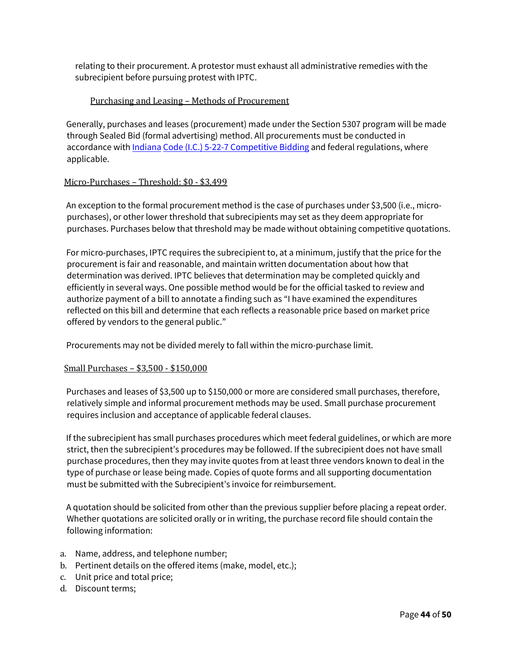relating to their procurement. A protestor must exhaust all administrative remedies with the subrecipient before pursuing protest with IPTC.

### Purchasing and Leasing – Methods of Procurement

<span id="page-43-0"></span>Generally, purchases and leases (procurement) made under the Section 5307 program will be made through Sealed Bid (formal advertising) method. All procurements must be conducted in accordance with *Indiana Code (I.C.)* 5-22-7 Competitive Bidding and federal regulations, where applicable.

### Micro-Purchases – Threshold: \$0 - \$3,499

An exception to the formal procurement method is the case of purchases under \$3,500 (i.e., micropurchases), or other lower threshold that subrecipients may set as they deem appropriate for purchases. Purchases below that threshold may be made without obtaining competitive quotations.

For micro-purchases, IPTC requires the subrecipient to, at a minimum, justify that the price for the procurement is fair and reasonable, and maintain written documentation about how that determination was derived. IPTC believes that determination may be completed quickly and efficiently in several ways. One possible method would be for the official tasked to review and authorize payment of a bill to annotate a finding such as "I have examined the expenditures reflected on this bill and determine that each reflects a reasonable price based on market price offered by vendors to the general public."

Procurements may not be divided merely to fall within the micro-purchase limit.

### Small Purchases – \$3,500 - \$150,000

Purchases and leases of \$3,500 up to \$150,000 or more are considered small purchases, therefore, relatively simple and informal procurement methods may be used. Small purchase procurement requires inclusion and acceptance of applicable federal clauses.

If the subrecipient has small purchases procedures which meet federal guidelines, or which are more strict, then the subrecipient's procedures may be followed. If the subrecipient does not have small purchase procedures, then they may invite quotes from at least three vendors known to deal in the type of purchase or lease being made. Copies of quote forms and all supporting documentation must be submitted with the Subrecipient's invoice for reimbursement.

A quotation should be solicited from other than the previous supplier before placing a repeat order. Whether quotations are solicited orally or in writing, the purchase record file should contain the following information:

- a. Name, address, and telephone number;
- b. Pertinent details on the offered items (make, model, etc.);
- c. Unit price and total price;
- d. Discount terms;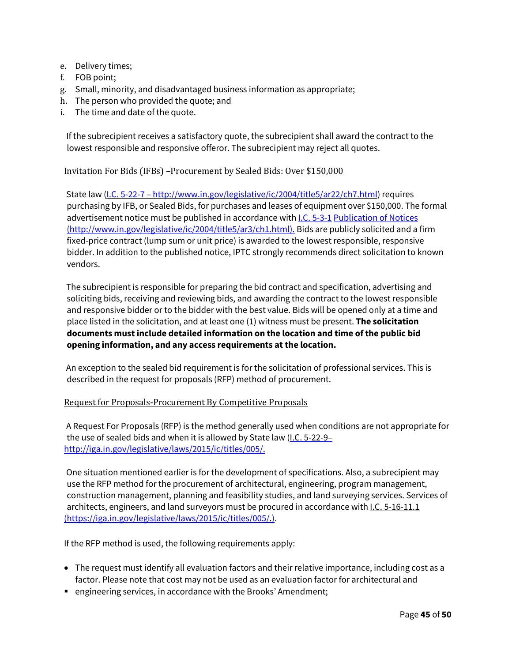- e. Delivery times;
- f. FOB point;
- g. Small, minority, and disadvantaged business information as appropriate;
- h. The person who provided the quote; and
- i. The time and date of the quote.

If the subrecipient receives a satisfactory quote, the subrecipient shall award the contract to the lowest responsible and responsive offeror. The subrecipient may reject all quotes.

#### Invitation For Bids (IFBs) –Procurement by Sealed Bids: Over \$150,000

State law (I.C. 5-22-7 – http://www.in.gov/legislative/ic/2004/title5/ar22/ch7.html) requires purchasing by IFB, or Sealed Bids, for purchases and leases of equipment over \$150,000. The formal advertisement notice must be published in accordance with I.C. 5-3-1 Publication of Notices (http://www.in.gov/legislative/ic/2004/title5/ar3/ch1.html). Bids are publicly solicited and a firm fixed-price contract (lump sum or unit price) is awarded to the lowest responsible, responsive bidder. In addition to the published notice, IPTC strongly recommends direct solicitation to known vendors.

The subrecipient is responsible for preparing the bid contract and specification, advertising and soliciting bids, receiving and reviewing bids, and awarding the contract to the lowest responsible and responsive bidder or to the bidder with the best value. Bids will be opened only at a time and place listed in the solicitation, and at least one (1) witness must be present. **The solicitation documents must include detailed information on the location and time of the public bid opening information, and any access requirements at the location.**

An exception to the sealed bid requirement is for the solicitation of professional services. This is described in the request for proposals (RFP) method of procurement.

#### Request for Proposals-Procurement By Competitive Proposals

A Request For Proposals (RFP) is the method generally used when conditions are not appropriate for the use of sealed bids and when it is allowed by State law (I.C. 5-22-9– [http://iga.in.gov/legislative/laws/2015/ic/titles/005/.](http://iga.in.gov/legislative/laws/2015/ic/titles/005/) 

One situation mentioned earlier is for the development of specifications. Also, a subrecipient may use the RFP method for the procurement of architectural, engineering, program management, construction management, planning and feasibility studies, and land surveying services. Services of architects, engineers, and land surveyors must be procured in accordance with I.C. 5-16-11.1 (https://iga.in.gov/legislative/laws/2015/ic/titles/005/.).

If the RFP method is used, the following requirements apply:

- The request must identify all evaluation factors and their relative importance, including cost as a factor. Please note that cost may not be used as an evaluation factor for architectural and
- engineering services, in accordance with the Brooks' Amendment;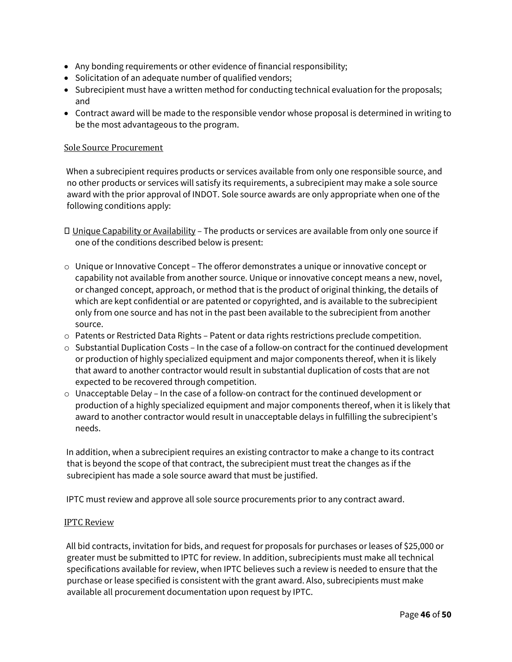- Any bonding requirements or other evidence of financial responsibility;
- Solicitation of an adequate number of qualified vendors;
- Subrecipient must have a written method for conducting technical evaluation for the proposals; and
- Contract award will be made to the responsible vendor whose proposal is determined in writing to be the most advantageous to the program.

#### Sole Source Procurement

When a subrecipient requires products or services available from only one responsible source, and no other products or services will satisfy its requirements, a subrecipient may make a sole source award with the prior approval of INDOT. Sole source awards are only appropriate when one of the following conditions apply:

- Unique Capability or Availability The products or services are available from only one source if one of the conditions described below is present:
- $\circ$  Unique or Innovative Concept The offeror demonstrates a unique or innovative concept or capability not available from another source. Unique or innovative concept means a new, novel, or changed concept, approach, or method that is the product of original thinking, the details of which are kept confidential or are patented or copyrighted, and is available to the subrecipient only from one source and has not in the past been available to the subrecipient from another source.
- $\circ$  Patents or Restricted Data Rights Patent or data rights restrictions preclude competition.
- $\circ$  Substantial Duplication Costs In the case of a follow-on contract for the continued development or production of highly specialized equipment and major components thereof, when it is likely that award to another contractor would result in substantial duplication of costs that are not expected to be recovered through competition.
- $\circ$  Unacceptable Delay In the case of a follow-on contract for the continued development or production of a highly specialized equipment and major components thereof, when it is likely that award to another contractor would result in unacceptable delays in fulfilling the subrecipient's needs.

In addition, when a subrecipient requires an existing contractor to make a change to its contract that is beyond the scope of that contract, the subrecipient must treat the changes as if the subrecipient has made a sole source award that must be justified.

IPTC must review and approve all sole source procurements prior to any contract award.

#### IPTC Review

All bid contracts, invitation for bids, and request for proposals for purchases or leases of \$25,000 or greater must be submitted to IPTC for review. In addition, subrecipients must make all technical specifications available for review, when IPTC believes such a review is needed to ensure that the purchase or lease specified is consistent with the grant award. Also, subrecipients must make available all procurement documentation upon request by IPTC.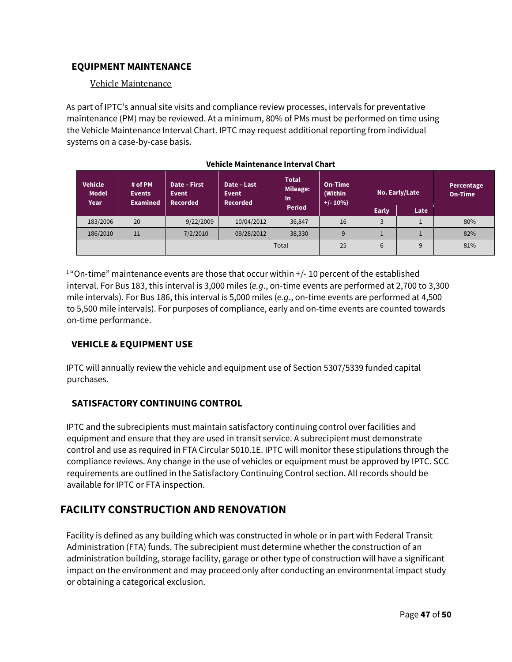# <span id="page-46-1"></span><span id="page-46-0"></span>**EQUIPMENT MAINTENANCE**

### Vehicle Maintenance

As part of IPTC's annual site visits and compliance review processes, intervals for preventative maintenance (PM) may be reviewed. At a minimum, 80% of PMs must be performed on time using the Vehicle Maintenance Interval Chart. IPTC may request additional reporting from individual systems on a case-by-case basis.

| <b>Vehicle</b><br><b>Model</b><br>Year | # of PM<br><b>Events</b><br><b>Examined</b> | Date - First<br>Event<br><b>Recorded</b> | Date - Last<br><b>Event</b><br><b>Recorded</b> | <b>Total</b><br>Mileage:<br><b>In</b><br><b>Period</b> | On-Time<br>(Within<br>$+/- 10\%$ | No. Early/Late |              | Percentage<br><b>On-Time</b> |
|----------------------------------------|---------------------------------------------|------------------------------------------|------------------------------------------------|--------------------------------------------------------|----------------------------------|----------------|--------------|------------------------------|
|                                        |                                             |                                          |                                                |                                                        |                                  |                | <b>Early</b> | Late                         |
| 183/2006                               | 20                                          | 9/22/2009                                | 10/04/2012                                     | 36,847                                                 | 16                               | 3              |              | 80%                          |
| 186/2010                               | 11                                          | 7/2/2010                                 | 09/28/2012                                     | 38,330                                                 | 9                                |                |              | 82%                          |
|                                        |                                             |                                          |                                                | Total                                                  | 25                               | 6              | 9            | 81%                          |

#### **Vehicle Maintenance Interval Chart**

 $1$  "On-time" maintenance events are those that occur within  $+/-10$  percent of the established interval. For Bus 183, this interval is 3,000 miles (*e.g*., on‐time events are performed at 2,700 to 3,300 mile intervals). For Bus 186, this interval is 5,000 miles (*e.g.*, on-time events are performed at 4,500 to 5,500 mile intervals). For purposes of compliance, early and on-time events are counted towards on-time performance.

# <span id="page-46-2"></span>**VEHICLE & EQUIPMENT USE**

IPTC will annually review the vehicle and equipment use of Section 5307/5339 funded capital purchases.

# <span id="page-46-3"></span>**SATISFACTORY CONTINUING CONTROL**

IPTC and the subrecipients must maintain satisfactory continuing control over facilities and equipment and ensure that they are used in transit service. A subrecipient must demonstrate control and use as required in FTA Circular 5010.1E. IPTC will monitor these stipulations through the compliance reviews. Any change in the use of vehicles or equipment must be approved by IPTC. SCC requirements are outlined in the Satisfactory Continuing Control section. All records should be available for IPTC or FTA inspection.

# <span id="page-46-4"></span>**FACILITY CONSTRUCTION AND RENOVATION**

Facility is defined as any building which was constructed in whole or in part with Federal Transit Administration (FTA) funds. The subrecipient must determine whether the construction of an administration building, storage facility, garage or other type of construction will have a significant impact on the environment and may proceed only after conducting an environmental impact study or obtaining a categorical exclusion.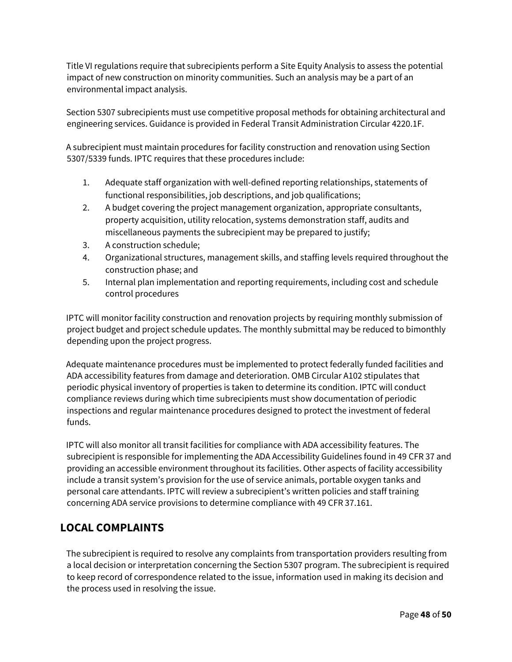Title VI regulations require that subrecipients perform a Site Equity Analysis to assess the potential impact of new construction on minority communities. Such an analysis may be a part of an environmental impact analysis.

Section 5307 subrecipients must use competitive proposal methods for obtaining architectural and engineering services. Guidance is provided in Federal Transit Administration Circular 4220.1F.

A subrecipient must maintain procedures for facility construction and renovation using Section 5307/5339 funds. IPTC requires that these procedures include:

- 1. Adequate staff organization with well-defined reporting relationships, statements of functional responsibilities, job descriptions, and job qualifications;
- 2. A budget covering the project management organization, appropriate consultants, property acquisition, utility relocation, systems demonstration staff, audits and miscellaneous payments the subrecipient may be prepared to justify;
- 3. A construction schedule;
- 4. Organizational structures, management skills, and staffing levels required throughout the construction phase; and
- 5. Internal plan implementation and reporting requirements, including cost and schedule control procedures

IPTC will monitor facility construction and renovation projects by requiring monthly submission of project budget and project schedule updates. The monthly submittal may be reduced to bimonthly depending upon the project progress.

Adequate maintenance procedures must be implemented to protect federally funded facilities and ADA accessibility features from damage and deterioration. OMB Circular A102 stipulates that periodic physical inventory of properties is taken to determine its condition. IPTC will conduct compliance reviews during which time subrecipients must show documentation of periodic inspections and regular maintenance procedures designed to protect the investment of federal funds.

IPTC will also monitor all transit facilities for compliance with ADA accessibility features. The subrecipient is responsible for implementing the ADA Accessibility Guidelines found in 49 CFR 37 and providing an accessible environment throughout its facilities. Other aspects of facility accessibility include a transit system's provision for the use of service animals, portable oxygen tanks and personal care attendants. IPTC will review a subrecipient's written policies and staff training concerning ADA service provisions to determine compliance with 49 CFR 37.161.

# <span id="page-47-0"></span>**LOCAL COMPLAINTS**

The subrecipient is required to resolve any complaints from transportation providers resulting from a local decision or interpretation concerning the Section 5307 program. The subrecipient is required to keep record of correspondence related to the issue, information used in making its decision and the process used in resolving the issue.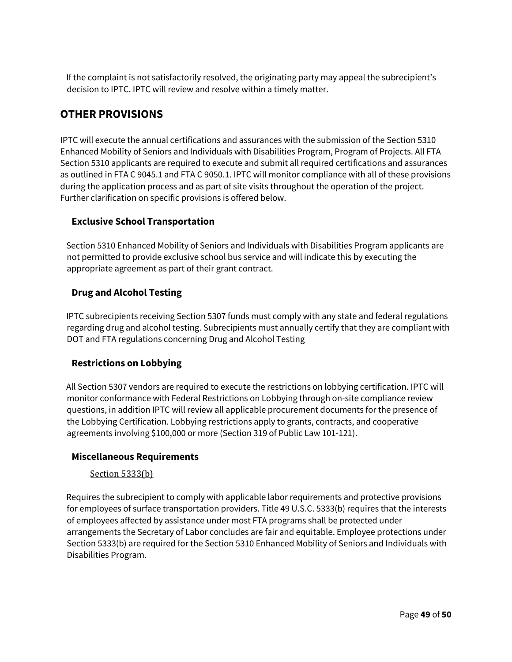If the complaint is not satisfactorily resolved, the originating party may appeal the subrecipient's decision to IPTC. IPTC will review and resolve within a timely matter.

# <span id="page-48-0"></span>**OTHER PROVISIONS**

IPTC will execute the annual certifications and assurances with the submission of the Section 5310 Enhanced Mobility of Seniors and Individuals with Disabilities Program, Program of Projects. All FTA Section 5310 applicants are required to execute and submit all required certifications and assurances as outlined in FTA C 9045.1 and FTA C 9050.1. IPTC will monitor compliance with all of these provisions during the application process and as part of site visits throughout the operation of the project. Further clarification on specific provisions is offered below.

# <span id="page-48-1"></span>**Exclusive School Transportation**

Section 5310 Enhanced Mobility of Seniors and Individuals with Disabilities Program applicants are not permitted to provide exclusive school bus service and will indicate this by executing the appropriate agreement as part of their grant contract.

# <span id="page-48-2"></span>**Drug and Alcohol Testing**

IPTC subrecipients receiving Section 5307 funds must comply with any state and federal regulations regarding drug and alcohol testing. Subrecipients must annually certify that they are compliant with DOT and FTA regulations concerning Drug and Alcohol Testing

# <span id="page-48-3"></span>**Restrictions on Lobbying**

All Section 5307 vendors are required to execute the restrictions on lobbying certification. IPTC will monitor conformance with Federal Restrictions on Lobbying through on-site compliance review questions, in addition IPTC will review all applicable procurement documents for the presence of the Lobbying Certification. Lobbying restrictions apply to grants, contracts, and cooperative agreements involving \$100,000 or more (Section 319 of Public Law 101-121).

### <span id="page-48-4"></span>**Miscellaneous Requirements**

### Section 5333(b)

Requires the subrecipient to comply with applicable labor requirements and protective provisions for employees of surface transportation providers. Title 49 U.S.C. 5333(b) requires that the interests of employees affected by assistance under most FTA programs shall be protected under arrangements the Secretary of Labor concludes are fair and equitable. Employee protections under Section 5333(b) are required for the Section 5310 Enhanced Mobility of Seniors and Individuals with Disabilities Program.